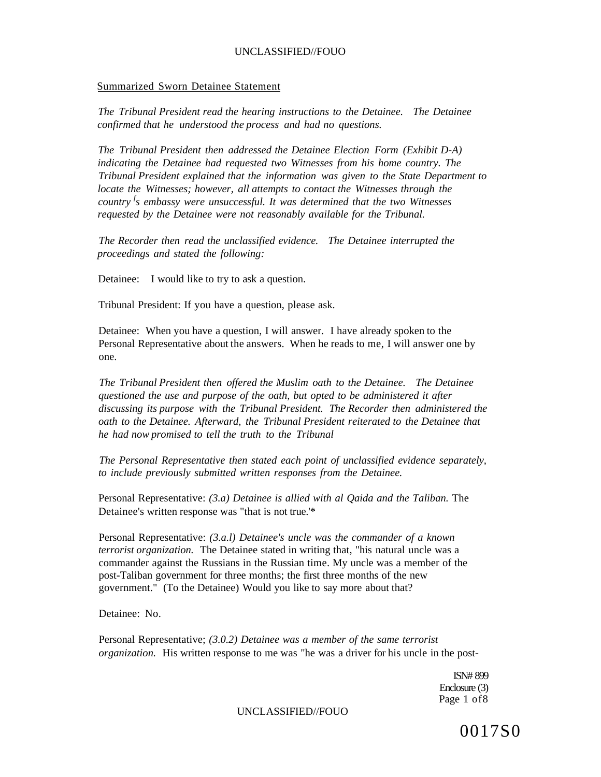#### Summarized Sworn Detainee Statement

*The Tribunal President read the hearing instructions to the Detainee. The Detainee confirmed that he understood the process and had no questions.* 

*The Tribunal President then addressed the Detainee Election Form (Exhibit D-A)*  indicating the Detainee had requested two Witnesses from his home country. The *Tribunal President explained that the information was given to the State Department to locate the Witnesses; however, all attempts to contact the Witnesses through the country <sup>f</sup> s embassy were unsuccessful. It was determined that the two Witnesses requested by the Detainee were not reasonably available for the Tribunal.* 

*The Recorder then read the unclassified evidence. The Detainee interrupted the proceedings and stated the following:* 

Detainee: I would like to try to ask a question.

Tribunal President: If you have a question, please ask.

Detainee: When you have a question, I will answer. I have already spoken to the Personal Representative about the answers. When he reads to me, I will answer one by one.

*The Tribunal President then offered the Muslim oath to the Detainee. The Detainee questioned the use and purpose of the oath, but opted to be administered it after discussing its purpose with the Tribunal President. The Recorder then administered the oath to the Detainee. Afterward, the Tribunal President reiterated to the Detainee that he had now promised to tell the truth to the Tribunal* 

*The Personal Representative then stated each point of unclassified evidence separately, to include previously submitted written responses from the Detainee.* 

Personal Representative: *(3.a) Detainee is allied with al Qaida and the Taliban.* The Detainee's written response was "that is not true.'\*

Personal Representative: *(3.a.l) Detainee's uncle was the commander of a known terrorist organization.* The Detainee stated in writing that, "his natural uncle was a commander against the Russians in the Russian time. My uncle was a member of the post-Taliban government for three months; the first three months of the new government." (To the Detainee) Would you like to say more about that?

Detainee: No.

Personal Representative; *(3.0.2) Detainee was a member of the same terrorist organization.* His written response to me was "he was a driver for his uncle in the post-

> ISN# 899 Enclosure (3) Page 1 of8

UNCLASSIFIED//FOUO

0017S0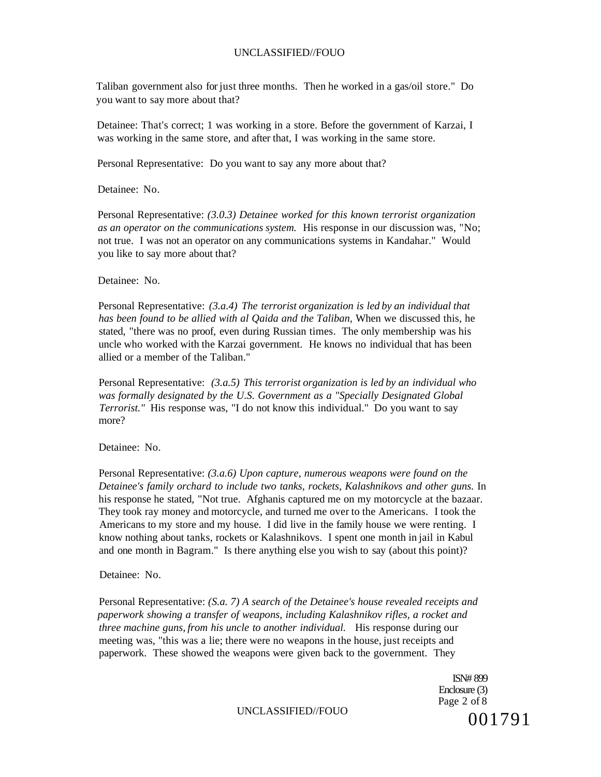Taliban government also for just three months. Then he worked in a gas/oil store." Do you want to say more about that?

Detainee: That's correct; 1 was working in a store. Before the government of Karzai, I was working in the same store, and after that, I was working in the same store.

Personal Representative: Do you want to say any more about that?

Detainee: No.

Personal Representative: *(3.0.3) Detainee worked for this known terrorist organization as an operator on the communications system.* His response in our discussion was, "No; not true. I was not an operator on any communications systems in Kandahar." Would you like to say more about that?

Detainee: No.

Personal Representative: *(3.a.4) The terrorist organization is led by an individual that has been found to be allied with al Qaida and the Taliban,* When we discussed this, he stated, "there was no proof, even during Russian times. The only membership was his uncle who worked with the Karzai government. He knows no individual that has been allied or a member of the Taliban."

Personal Representative: *(3.a.5) This terrorist organization is led by an individual who was formally designated by the U.S. Government as a "Specially Designated Global Terrorist."* His response was, "I do not know this individual." Do you want to say more?

Detainee: No.

Personal Representative: *(3.a.6) Upon capture, numerous weapons were found on the Detainee's family orchard to include two tanks, rockets, Kalashnikovs and other guns.* In his response he stated, "Not true. Afghanis captured me on my motorcycle at the bazaar. They took ray money and motorcycle, and turned me over to the Americans. I took the Americans to my store and my house. I did live in the family house we were renting. I know nothing about tanks, rockets or Kalashnikovs. I spent one month in jail in Kabul and one month in Bagram." Is there anything else you wish to say (about this point)?

Detainee: No.

Personal Representative: *(S.a. 7) A search of the Detainee's house revealed receipts and paperwork showing a transfer of weapons, including Kalashnikov rifles, a rocket and three machine guns, from his uncle to another individual.* His response during our meeting was, "this was a lie; there were no weapons in the house, just receipts and paperwork. These showed the weapons were given back to the government. They

> ISN# 899 Enclosure (3) Page 2 of 8 001791

UNCLASSIFIED//FOUO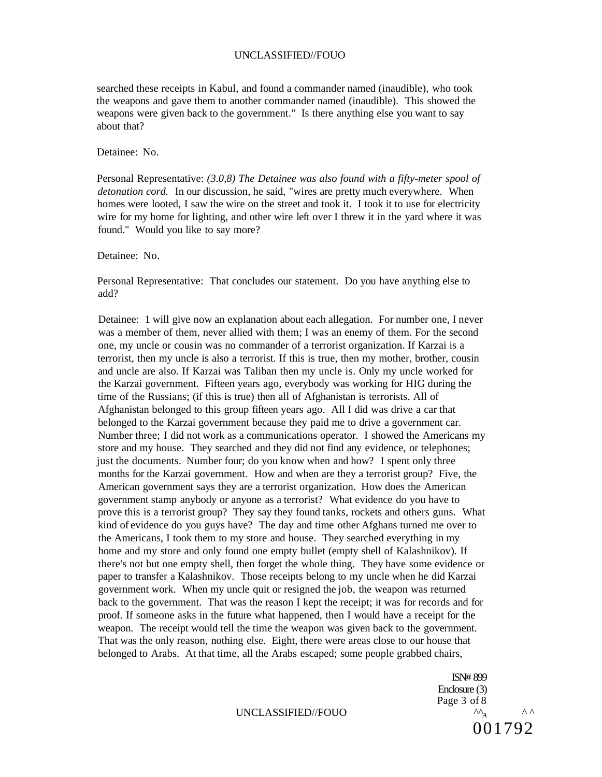searched these receipts in Kabul, and found a commander named (inaudible), who took the weapons and gave them to another commander named (inaudible). This showed the weapons were given back to the government." Is there anything else you want to say about that?

Detainee: No.

Personal Representative: *(3.0,8) The Detainee was also found with a fifty-meter spool of detonation cord.* In our discussion, he said, "wires are pretty much everywhere. When homes were looted, I saw the wire on the street and took it. I took it to use for electricity wire for my home for lighting, and other wire left over I threw it in the yard where it was found." Would you like to say more?

Detainee: No.

Personal Representative: That concludes our statement. Do you have anything else to add?

Detainee: 1 will give now an explanation about each allegation. For number one, I never was a member of them, never allied with them; I was an enemy of them. For the second one, my uncle or cousin was no commander of a terrorist organization. If Karzai is a terrorist, then my uncle is also a terrorist. If this is true, then my mother, brother, cousin and uncle are also. If Karzai was Taliban then my uncle is. Only my uncle worked for the Karzai government. Fifteen years ago, everybody was working for HIG during the time of the Russians; (if this is true) then all of Afghanistan is terrorists. All of Afghanistan belonged to this group fifteen years ago. All I did was drive a car that belonged to the Karzai government because they paid me to drive a government car. Number three; I did not work as a communications operator. I showed the Americans my store and my house. They searched and they did not find any evidence, or telephones; just the documents. Number four; do you know when and how? I spent only three months for the Karzai government. How and when are they a terrorist group? Five, the American government says they are a terrorist organization. How does the American government stamp anybody or anyone as a terrorist? What evidence do you have to prove this is a terrorist group? They say they found tanks, rockets and others guns. What kind of evidence do you guys have? The day and time other Afghans turned me over to the Americans, I took them to my store and house. They searched everything in my home and my store and only found one empty bullet (empty shell of Kalashnikov). If there's not but one empty shell, then forget the whole thing. They have some evidence or paper to transfer a Kalashnikov. Those receipts belong to my uncle when he did Karzai government work. When my uncle quit or resigned the job, the weapon was returned back to the government. That was the reason I kept the receipt; it was for records and for proof. If someone asks in the future what happened, then I would have a receipt for the weapon. The receipt would tell the time the weapon was given back to the government. That was the only reason, nothing else. Eight, there were areas close to our house that belonged to Arabs. At that time, all the Arabs escaped; some people grabbed chairs,

ISN# 899 Enclosure (3) Page 3 of 8 UNCLASSIFIED//FOUO  $^{\sim}$   $^{\sim}$   $^{\sim}$   $^{\sim}$ 001792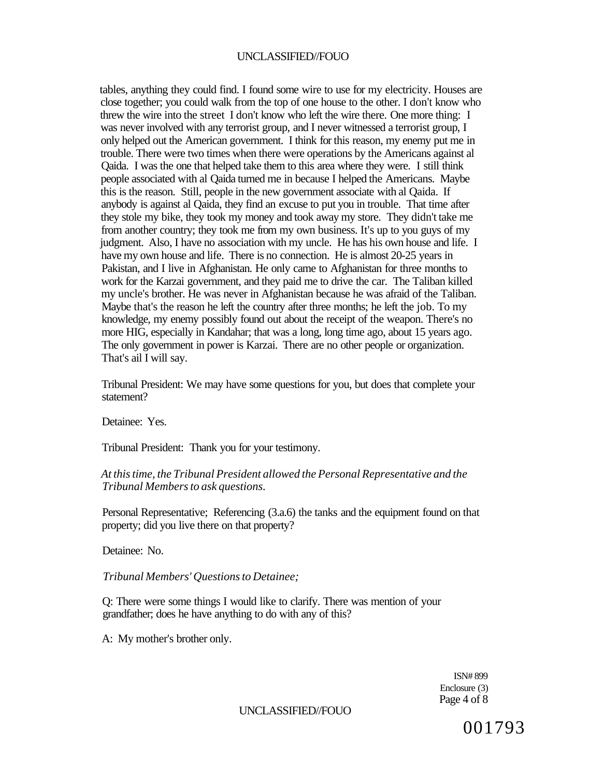tables, anything they could find. I found some wire to use for my electricity. Houses are close together; you could walk from the top of one house to the other. I don't know who threw the wire into the street I don't know who left the wire there. One more thing: I was never involved with any terrorist group, and I never witnessed a terrorist group, I only helped out the American government. I think for this reason, my enemy put me in trouble. There were two times when there were operations by the Americans against al Qaida. I was the one that helped take them to this area where they were. I still think people associated with al Qaida turned me in because I helped the Americans. Maybe this is the reason. Still, people in the new government associate with al Qaida. If anybody is against al Qaida, they find an excuse to put you in trouble. That time after they stole my bike, they took my money and took away my store. They didn't take me from another country; they took me from my own business. It's up to you guys of my judgment. Also, I have no association with my uncle. He has his own house and life. I have my own house and life. There is no connection. He is almost 20-25 years in Pakistan, and I live in Afghanistan. He only came to Afghanistan for three months to work for the Karzai government, and they paid me to drive the car. The Taliban killed my uncle's brother. He was never in Afghanistan because he was afraid of the Taliban. Maybe that's the reason he left the country after three months; he left the job. To my knowledge, my enemy possibly found out about the receipt of the weapon. There's no more HIG, especially in Kandahar; that was a long, long time ago, about 15 years ago. The only government in power is Karzai. There are no other people or organization. That's ail I will say.

Tribunal President: We may have some questions for you, but does that complete your statement?

Detainee: Yes.

Tribunal President: Thank you for your testimony.

#### *At this time, the Tribunal President allowed the Personal Representative and the Tribunal Members to ask questions.*

Personal Representative; Referencing (3.a.6) the tanks and the equipment found on that property; did you live there on that property?

Detainee: No.

*Tribunal Members' Questions to Detainee;* 

Q: There were some things I would like to clarify. There was mention of your grandfather; does he have anything to do with any of this?

A: My mother's brother only.

ISN# 899 Enclosure (3) Page 4 of 8

UNCLASSIFIED//FOUO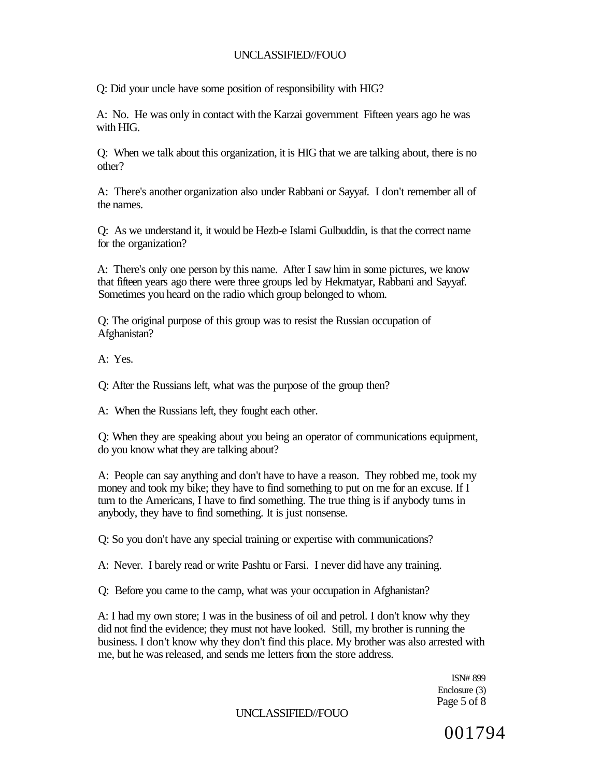Q: Did your uncle have some position of responsibility with HIG?

A: No. He was only in contact with the Karzai government Fifteen years ago he was with HIG.

Q: When we talk about this organization, it is HIG that we are talking about, there is no other?

A: There's another organization also under Rabbani or Sayyaf. I don't remember all of the names.

Q: As we understand it, it would be Hezb-e Islami Gulbuddin, is that the correct name for the organization?

A: There's only one person by this name. After I saw him in some pictures, we know that fifteen years ago there were three groups led by Hekmatyar, Rabbani and Sayyaf. Sometimes you heard on the radio which group belonged to whom.

Q: The original purpose of this group was to resist the Russian occupation of Afghanistan?

A: Yes.

Q: After the Russians left, what was the purpose of the group then?

A: When the Russians left, they fought each other.

Q: When they are speaking about you being an operator of communications equipment, do you know what they are talking about?

A: People can say anything and don't have to have a reason. They robbed me, took my money and took my bike; they have to find something to put on me for an excuse. If I turn to the Americans, I have to find something. The true thing is if anybody turns in anybody, they have to find something. It is just nonsense.

Q: So you don't have any special training or expertise with communications?

A: Never. I barely read or write Pashtu or Farsi. I never did have any training.

Q: Before you came to the camp, what was your occupation in Afghanistan?

A: I had my own store; I was in the business of oil and petrol. I don't know why they did not find the evidence; they must not have looked. Still, my brother is running the business. I don't know why they don't find this place. My brother was also arrested with me, but he was released, and sends me letters from the store address.

> ISN# 899 Enclosure (3) Page 5 of 8

UNCLASSIFIED//FOUO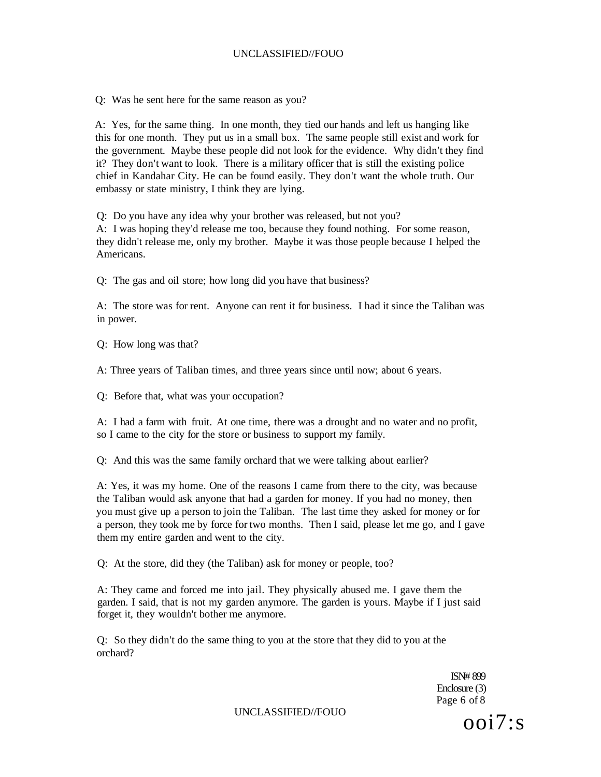Q: Was he sent here for the same reason as you?

A: Yes, for the same thing. In one month, they tied our hands and left us hanging like this for one month. They put us in a small box. The same people still exist and work for the government. Maybe these people did not look for the evidence. Why didn't they find it? They don't want to look. There is a military officer that is still the existing police chief in Kandahar City. He can be found easily. They don't want the whole truth. Our embassy or state ministry, I think they are lying.

Q: Do you have any idea why your brother was released, but not you?

A: I was hoping they'd release me too, because they found nothing. For some reason, they didn't release me, only my brother. Maybe it was those people because I helped the Americans.

Q: The gas and oil store; how long did you have that business?

A: The store was for rent. Anyone can rent it for business. I had it since the Taliban was in power.

Q: How long was that?

A: Three years of Taliban times, and three years since until now; about 6 years.

Q: Before that, what was your occupation?

A: I had a farm with fruit. At one time, there was a drought and no water and no profit, so I came to the city for the store or business to support my family.

Q: And this was the same family orchard that we were talking about earlier?

A: Yes, it was my home. One of the reasons I came from there to the city, was because the Taliban would ask anyone that had a garden for money. If you had no money, then you must give up a person to join the Taliban. The last time they asked for money or for a person, they took me by force for two months. Then I said, please let me go, and I gave them my entire garden and went to the city.

Q: At the store, did they (the Taliban) ask for money or people, too?

A: They came and forced me into jail. They physically abused me. I gave them the garden. I said, that is not my garden anymore. The garden is yours. Maybe if I just said forget it, they wouldn't bother me anymore.

Q: So they didn't do the same thing to you at the store that they did to you at the orchard?

> ISN# 899 Enclosure (3) Page 6 of 8

UNCLASSIFIED//FOUO  $Ooi7$ :s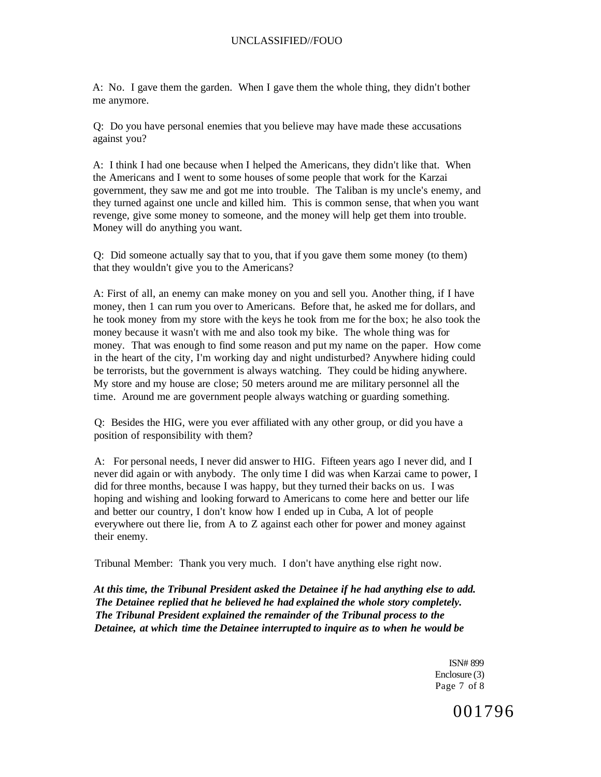A: No. I gave them the garden. When I gave them the whole thing, they didn't bother me anymore.

Q: Do you have personal enemies that you believe may have made these accusations against you?

A: I think I had one because when I helped the Americans, they didn't like that. When the Americans and I went to some houses of some people that work for the Karzai government, they saw me and got me into trouble. The Taliban is my uncle's enemy, and they turned against one uncle and killed him. This is common sense, that when you want revenge, give some money to someone, and the money will help get them into trouble. Money will do anything you want.

Q: Did someone actually say that to you, that if you gave them some money (to them) that they wouldn't give you to the Americans?

A: First of all, an enemy can make money on you and sell you. Another thing, if I have money, then 1 can rum you over to Americans. Before that, he asked me for dollars, and he took money from my store with the keys he took from me for the box; he also took the money because it wasn't with me and also took my bike. The whole thing was for money. That was enough to find some reason and put my name on the paper. How come in the heart of the city, I'm working day and night undisturbed? Anywhere hiding could be terrorists, but the government is always watching. They could be hiding anywhere. My store and my house are close; 50 meters around me are military personnel all the time. Around me are government people always watching or guarding something.

Q: Besides the HIG, were you ever affiliated with any other group, or did you have a position of responsibility with them?

A: For personal needs, I never did answer to HIG. Fifteen years ago I never did, and I never did again or with anybody. The only time I did was when Karzai came to power, I did for three months, because I was happy, but they turned their backs on us. I was hoping and wishing and looking forward to Americans to come here and better our life and better our country, I don't know how I ended up in Cuba, A lot of people everywhere out there lie, from A to Z against each other for power and money against their enemy.

Tribunal Member: Thank you very much. I don't have anything else right now.

*At this time, the Tribunal President asked the Detainee if he had anything else to add. The Detainee replied that he believed he had explained the whole story completely. The Tribunal President explained the remainder of the Tribunal process to the Detainee, at which time the Detainee interrupted to inquire as to when he would be* 

> ISN# 899 Enclosure (3) Page 7 of 8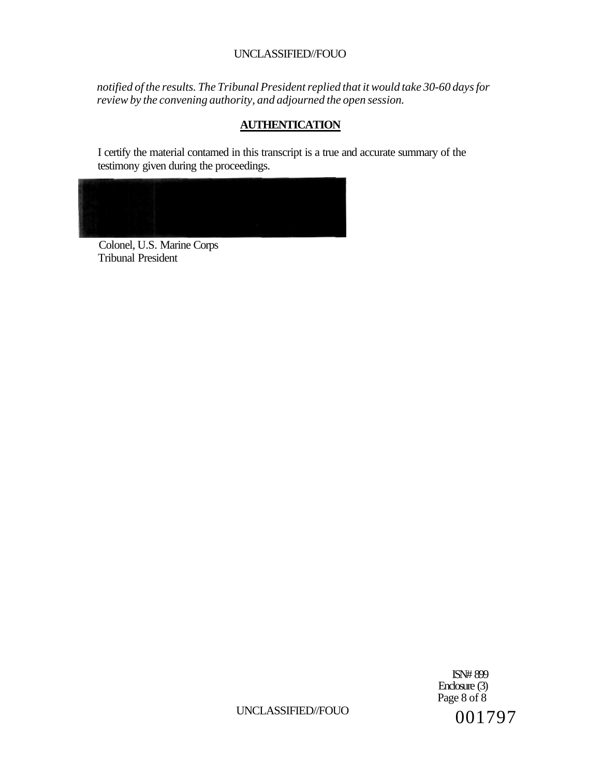*notified of the results. The Tribunal President replied that it would take 30-60 days for review by the convening authority, and adjourned the open session.* 

# **AUTHENTICATION**

I certify the material contamed in this transcript is a true and accurate summary of the testimony given during the proceedings.



Colonel, U.S. Marine Corps Tribunal President

> ISN# 899 Enclosure (3) Page 8 of 8

UNCLASSIFIED//FOUO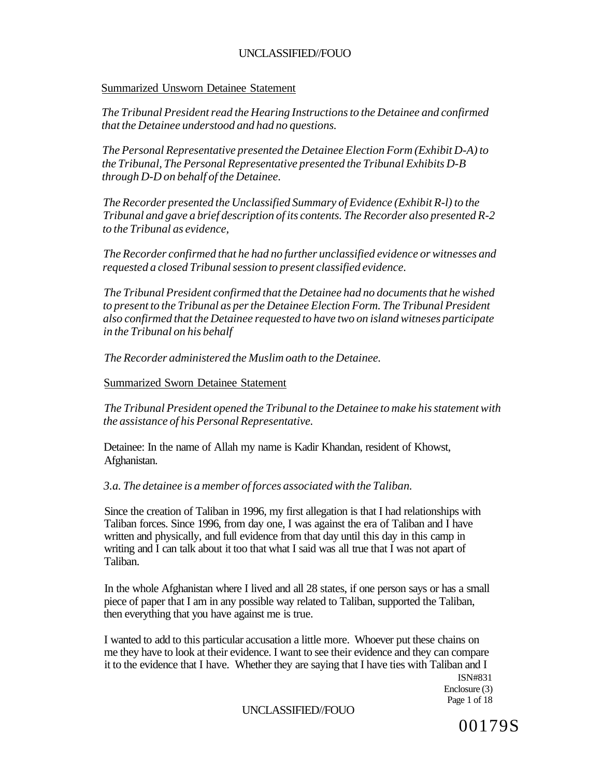#### Summarized Unsworn Detainee Statement

*The Tribunal President read the Hearing Instructions to the Detainee and confirmed that the Detainee understood and had no questions.* 

*The Personal Representative presented the Detainee Election Form (Exhibit D-A) to the Tribunal, The Personal Representative presented the Tribunal Exhibits D-B through D-D on behalf of the Detainee.* 

*The Recorder presented the Unclassified Summary of Evidence (Exhibit R-l) to the Tribunal and gave a brief description of its contents. The Recorder also presented R-2 to the Tribunal as evidence,* 

*The Recorder confirmed that he had no further unclassified evidence or witnesses and requested a closed Tribunal session to present classified evidence.* 

*The Tribunal President confirmed that the Detainee had no documents that he wished to present to the Tribunal as per the Detainee Election Form. The Tribunal President also confirmed that the Detainee requested to have two on island witneses participate in the Tribunal on his behalf* 

*The Recorder administered the Muslim oath to the Detainee.* 

#### Summarized Sworn Detainee Statement

*The Tribunal President opened the Tribunal to the Detainee to make his statement with the assistance of his Personal Representative.* 

Detainee: In the name of Allah my name is Kadir Khandan, resident of Khowst, Afghanistan.

*3.a. The detainee is a member of forces associated with the Taliban.* 

Since the creation of Taliban in 1996, my first allegation is that I had relationships with Taliban forces. Since 1996, from day one, I was against the era of Taliban and I have written and physically, and full evidence from that day until this day in this camp in writing and I can talk about it too that what I said was all true that I was not apart of Taliban.

In the whole Afghanistan where I lived and all 28 states, if one person says or has a small piece of paper that I am in any possible way related to Taliban, supported the Taliban, then everything that you have against me is true.

I wanted to add to this particular accusation a little more. Whoever put these chains on me they have to look at their evidence. I want to see their evidence and they can compare it to the evidence that I have. Whether they are saying that I have ties with Taliban and I

ISN#831 Enclosure (3) Page 1 of 18

#### UNCLASSIFIED//FOUO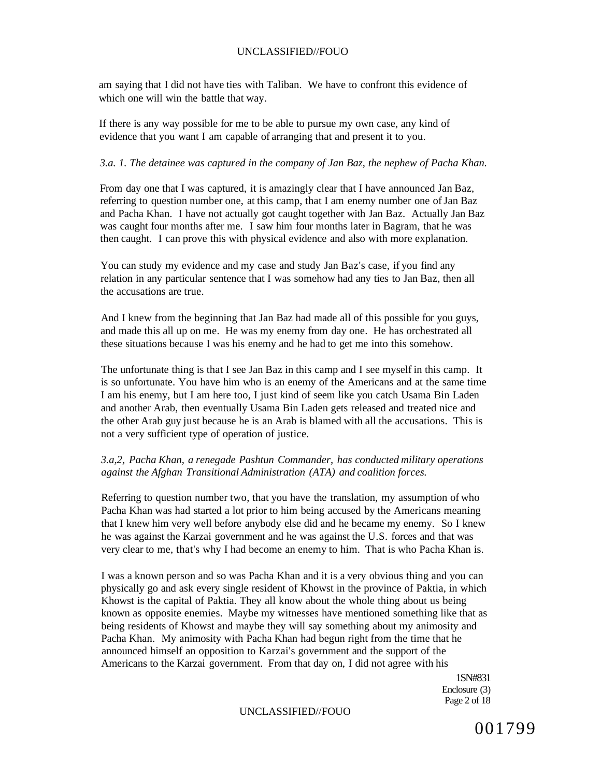am saying that I did not have ties with Taliban. We have to confront this evidence of which one will win the battle that way.

If there is any way possible for me to be able to pursue my own case, any kind of evidence that you want I am capable of arranging that and present it to you.

#### *3.a. 1. The detainee was captured in the company of Jan Baz, the nephew of Pacha Khan.*

From day one that I was captured, it is amazingly clear that I have announced Jan Baz, referring to question number one, at this camp, that I am enemy number one of Jan Baz and Pacha Khan. I have not actually got caught together with Jan Baz. Actually Jan Baz was caught four months after me. I saw him four months later in Bagram, that he was then caught. I can prove this with physical evidence and also with more explanation.

You can study my evidence and my case and study Jan Baz's case, if you find any relation in any particular sentence that I was somehow had any ties to Jan Baz, then all the accusations are true.

And I knew from the beginning that Jan Baz had made all of this possible for you guys, and made this all up on me. He was my enemy from day one. He has orchestrated all these situations because I was his enemy and he had to get me into this somehow.

The unfortunate thing is that I see Jan Baz in this camp and I see myself in this camp. It is so unfortunate. You have him who is an enemy of the Americans and at the same time I am his enemy, but I am here too, I just kind of seem like you catch Usama Bin Laden and another Arab, then eventually Usama Bin Laden gets released and treated nice and the other Arab guy just because he is an Arab is blamed with all the accusations. This is not a very sufficient type of operation of justice.

#### *3.a,2, Pacha Khan, a renegade Pashtun Commander, has conducted military operations against the Afghan Transitional Administration (ATA) and coalition forces.*

Referring to question number two, that you have the translation, my assumption of who Pacha Khan was had started a lot prior to him being accused by the Americans meaning that I knew him very well before anybody else did and he became my enemy. So I knew he was against the Karzai government and he was against the U.S. forces and that was very clear to me, that's why I had become an enemy to him. That is who Pacha Khan is.

I was a known person and so was Pacha Khan and it is a very obvious thing and you can physically go and ask every single resident of Khowst in the province of Paktia, in which Khowst is the capital of Paktia. They all know about the whole thing about us being known as opposite enemies. Maybe my witnesses have mentioned something like that as being residents of Khowst and maybe they will say something about my animosity and Pacha Khan. My animosity with Pacha Khan had begun right from the time that he announced himself an opposition to Karzai's government and the support of the Americans to the Karzai government. From that day on, I did not agree with his

> 1SN#831 Enclosure (3) Page 2 of 18

#### UNCLASSIFIED//FOUO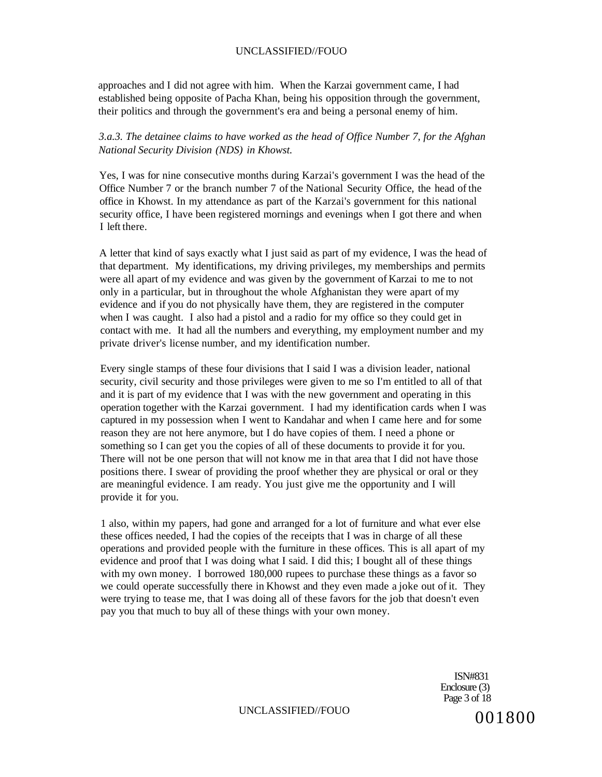approaches and I did not agree with him. When the Karzai government came, I had established being opposite of Pacha Khan, being his opposition through the government, their politics and through the government's era and being a personal enemy of him.

#### *3.a.3. The detainee claims to have worked as the head of Office Number 7, for the Afghan National Security Division (NDS) in Khowst.*

Yes, I was for nine consecutive months during Karzai's government I was the head of the Office Number 7 or the branch number 7 of the National Security Office, the head of the office in Khowst. In my attendance as part of the Karzai's government for this national security office, I have been registered mornings and evenings when I got there and when I left there.

A letter that kind of says exactly what I just said as part of my evidence, I was the head of that department. My identifications, my driving privileges, my memberships and permits were all apart of my evidence and was given by the government of Karzai to me to not only in a particular, but in throughout the whole Afghanistan they were apart of my evidence and if you do not physically have them, they are registered in the computer when I was caught. I also had a pistol and a radio for my office so they could get in contact with me. It had all the numbers and everything, my employment number and my private driver's license number, and my identification number.

Every single stamps of these four divisions that I said I was a division leader, national security, civil security and those privileges were given to me so I'm entitled to all of that and it is part of my evidence that I was with the new government and operating in this operation together with the Karzai government. I had my identification cards when I was captured in my possession when I went to Kandahar and when I came here and for some reason they are not here anymore, but I do have copies of them. I need a phone or something so I can get you the copies of all of these documents to provide it for you. There will not be one person that will not know me in that area that I did not have those positions there. I swear of providing the proof whether they are physical or oral or they are meaningful evidence. I am ready. You just give me the opportunity and I will provide it for you.

1 also, within my papers, had gone and arranged for a lot of furniture and what ever else these offices needed, I had the copies of the receipts that I was in charge of all these operations and provided people with the furniture in these offices. This is all apart of my evidence and proof that I was doing what I said. I did this; I bought all of these things with my own money. I borrowed 180,000 rupees to purchase these things as a favor so we could operate successfully there in Khowst and they even made a joke out of it. They were trying to tease me, that I was doing all of these favors for the job that doesn't even pay you that much to buy all of these things with your own money.

> ISN#831 Enclosure (3) Page 3 of 18

UNCLASSIFIED//FOUO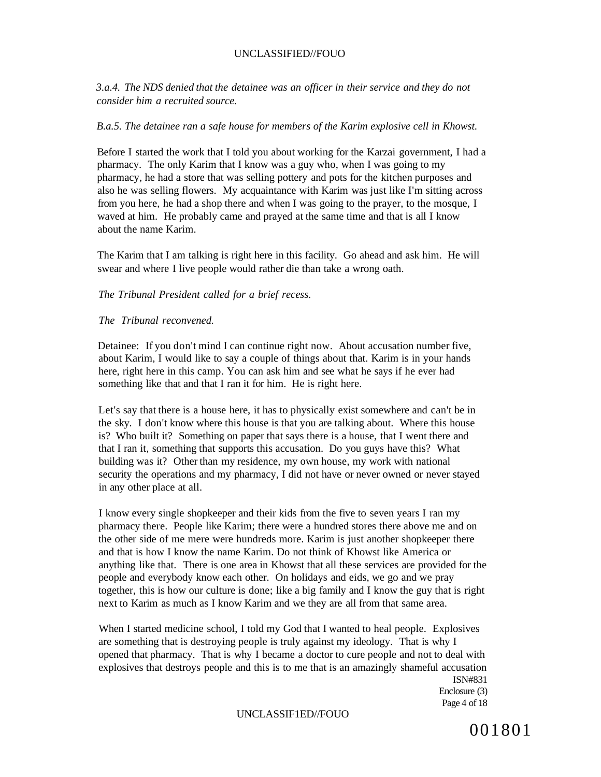*3.a.4. The NDS denied that the detainee was an officer in their service and they do not consider him a recruited source.* 

#### *B.a.5. The detainee ran a safe house for members of the Karim explosive cell in Khowst.*

Before I started the work that I told you about working for the Karzai government, I had a pharmacy. The only Karim that I know was a guy who, when I was going to my pharmacy, he had a store that was selling pottery and pots for the kitchen purposes and also he was selling flowers. My acquaintance with Karim was just like I'm sitting across from you here, he had a shop there and when I was going to the prayer, to the mosque, I waved at him. He probably came and prayed at the same time and that is all I know about the name Karim.

The Karim that I am talking is right here in this facility. Go ahead and ask him. He will swear and where I live people would rather die than take a wrong oath.

#### *The Tribunal President called for a brief recess.*

#### *The Tribunal reconvened.*

Detainee: If you don't mind I can continue right now. About accusation number five, about Karim, I would like to say a couple of things about that. Karim is in your hands here, right here in this camp. You can ask him and see what he says if he ever had something like that and that I ran it for him. He is right here.

Let's say that there is a house here, it has to physically exist somewhere and can't be in the sky. I don't know where this house is that you are talking about. Where this house is? Who built it? Something on paper that says there is a house, that I went there and that I ran it, something that supports this accusation. Do you guys have this? What building was it? Other than my residence, my own house, my work with national security the operations and my pharmacy, I did not have or never owned or never stayed in any other place at all.

I know every single shopkeeper and their kids from the five to seven years I ran my pharmacy there. People like Karim; there were a hundred stores there above me and on the other side of me mere were hundreds more. Karim is just another shopkeeper there and that is how I know the name Karim. Do not think of Khowst like America or anything like that. There is one area in Khowst that all these services are provided for the people and everybody know each other. On holidays and eids, we go and we pray together, this is how our culture is done; like a big family and I know the guy that is right next to Karim as much as I know Karim and we they are all from that same area.

When I started medicine school, I told my God that I wanted to heal people. Explosives are something that is destroying people is truly against my ideology. That is why I opened that pharmacy. That is why I became a doctor to cure people and not to deal with explosives that destroys people and this is to me that is an amazingly shameful accusation

ISN#831 Enclosure (3) Page 4 of 18

#### UNCLASSIF1ED//FOUO

001801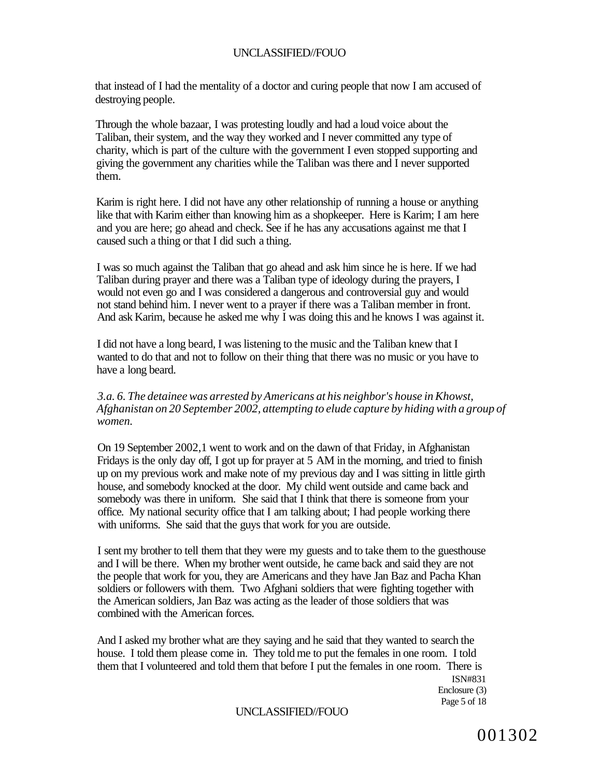that instead of I had the mentality of a doctor and curing people that now I am accused of destroying people.

Through the whole bazaar, I was protesting loudly and had a loud voice about the Taliban, their system, and the way they worked and I never committed any type of charity, which is part of the culture with the government I even stopped supporting and giving the government any charities while the Taliban was there and I never supported them.

Karim is right here. I did not have any other relationship of running a house or anything like that with Karim either than knowing him as a shopkeeper. Here is Karim; I am here and you are here; go ahead and check. See if he has any accusations against me that I caused such a thing or that I did such a thing.

I was so much against the Taliban that go ahead and ask him since he is here. If we had Taliban during prayer and there was a Taliban type of ideology during the prayers, I would not even go and I was considered a dangerous and controversial guy and would not stand behind him. I never went to a prayer if there was a Taliban member in front. And ask Karim, because he asked me why I was doing this and he knows I was against it.

I did not have a long beard, I was listening to the music and the Taliban knew that I wanted to do that and not to follow on their thing that there was no music or you have to have a long beard.

#### *3.a. 6. The detainee was arrested by Americans at his neighbor's house in Khowst, Afghanistan on 20 September 2002, attempting to elude capture by hiding with a group of women.*

On 19 September 2002,1 went to work and on the dawn of that Friday, in Afghanistan Fridays is the only day off, I got up for prayer at 5 AM in the morning, and tried to finish up on my previous work and make note of my previous day and I was sitting in little girth house, and somebody knocked at the door. My child went outside and came back and somebody was there in uniform. She said that I think that there is someone from your office. My national security office that I am talking about; I had people working there with uniforms. She said that the guys that work for you are outside.

I sent my brother to tell them that they were my guests and to take them to the guesthouse and I will be there. When my brother went outside, he came back and said they are not the people that work for you, they are Americans and they have Jan Baz and Pacha Khan soldiers or followers with them. Two Afghani soldiers that were fighting together with the American soldiers, Jan Baz was acting as the leader of those soldiers that was combined with the American forces.

And I asked my brother what are they saying and he said that they wanted to search the house. I told them please come in. They told me to put the females in one room. I told them that I volunteered and told them that before I put the females in one room. There is

ISN#831 Enclosure (3) Page 5 of 18

### UNCLASSIFIED//FOUO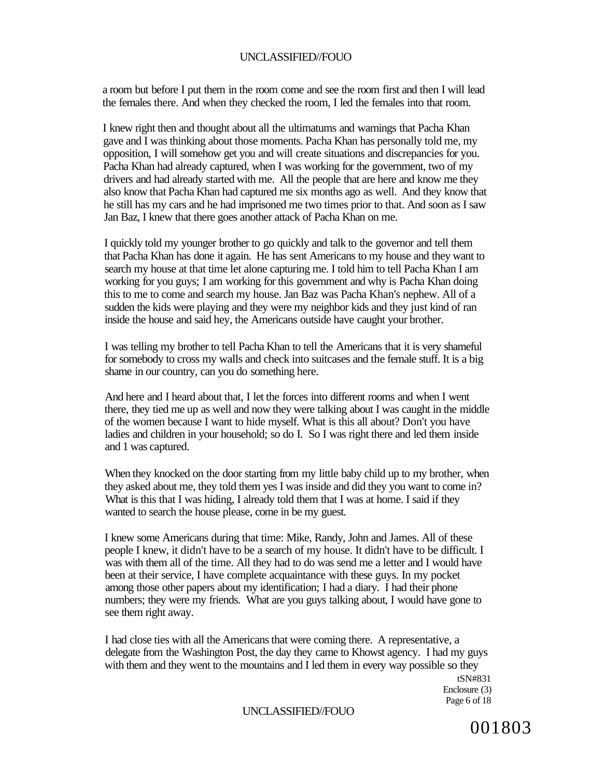a room but before I put them in the room come and see the room first and then I will lead the females there. And when they checked the room, I led the females into that room.

I knew right then and thought about all the ultimatums and warnings that Pacha Khan gave and I was thinking about those moments. Pacha Khan has personally told me, my opposition, I will somehow get you and will create situations and discrepancies for you. Pacha Khan had already captured, when I was working for the government, two of my drivers and had already started with me. All the people that are here and know me they also know that Pacha Khan had captured me six months ago as well. And they know that he still has my cars and he had imprisoned me two times prior to that. And soon as I saw Jan Baz, I knew that there goes another attack of Pacha Khan on me.

I quickly told my younger brother to go quickly and talk to the governor and tell them that Pacha Khan has done it again. He has sent Americans to my house and they want to search my house at that time let alone capturing me. I told him to tell Pacha Khan I am working for you guys; I am working for this government and why is Pacha Khan doing this to me to come and search my house. Jan Baz was Pacha Khan's nephew. All of a sudden the kids were playing and they were my neighbor kids and they just kind of ran inside the house and said hey, the Americans outside have caught your brother.

I was telling my brother to tell Pacha Khan to tell the Americans that it is very shameful for somebody to cross my walls and check into suitcases and the female stuff. It is a big shame in our country, can you do something here.

And here and I heard about that, I let the forces into different rooms and when I went there, they tied me up as well and now they were talking about I was caught in the middle of the women because I want to hide myself. What is this all about? Don't you have ladies and children in your household; so do I. So I was right there and led them inside and 1 was captured.

When they knocked on the door starting from my little baby child up to my brother, when they asked about me, they told them yes I was inside and did they you want to come in? What is this that I was hiding, I already told them that I was at home. I said if they wanted to search the house please, come in be my guest.

I knew some Americans during that time: Mike, Randy, John and James. All of these people I knew, it didn't have to be a search of my house. It didn't have to be difficult. I was with them all of the time. All they had to do was send me a letter and I would have been at their service, I have complete acquaintance with these guys. In my pocket among those other papers about my identification; I had a diary. I had their phone numbers; they were my friends. What are you guys talking about, I would have gone to see them right away.

I had close ties with all the Americans that were coming there. A representative, a delegate from the Washington Post, the day they came to Khowst agency. I had my guys with them and they went to the mountains and I led them in every way possible so they

tSN#831 Enclosure (3) Page 6 of 18

#### UNCLASSIFIED//FOUO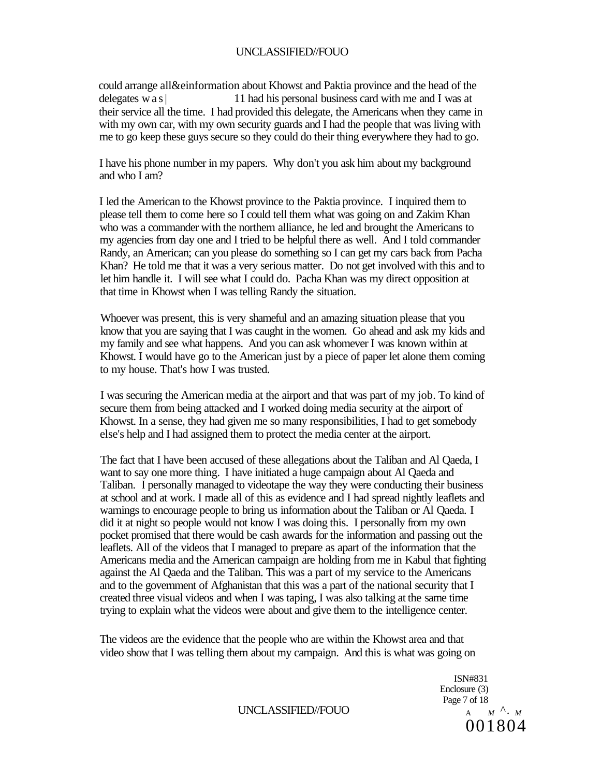could arrange all&einformation about Khowst and Paktia province and the head of the delegates was | 11 had his personal business card with me and I was at their service all the time. I had provided this delegate, the Americans when they came in with my own car, with my own security guards and I had the people that was living with me to go keep these guys secure so they could do their thing everywhere they had to go.

I have his phone number in my papers. Why don't you ask him about my background and who I am?

I led the American to the Khowst province to the Paktia province. I inquired them to please tell them to come here so I could tell them what was going on and Zakim Khan who was a commander with the northern alliance, he led and brought the Americans to my agencies from day one and I tried to be helpful there as well. And I told commander Randy, an American; can you please do something so I can get my cars back from Pacha Khan? He told me that it was a very serious matter. Do not get involved with this and to let him handle it. I will see what I could do. Pacha Khan was my direct opposition at that time in Khowst when I was telling Randy the situation.

Whoever was present, this is very shameful and an amazing situation please that you know that you are saying that I was caught in the women. Go ahead and ask my kids and my family and see what happens. And you can ask whomever I was known within at Khowst. I would have go to the American just by a piece of paper let alone them coming to my house. That's how I was trusted.

I was securing the American media at the airport and that was part of my job. To kind of secure them from being attacked and I worked doing media security at the airport of Khowst. In a sense, they had given me so many responsibilities, I had to get somebody else's help and I had assigned them to protect the media center at the airport.

The fact that I have been accused of these allegations about the Taliban and Al Qaeda, I want to say one more thing. I have initiated a huge campaign about Al Qaeda and Taliban. I personally managed to videotape the way they were conducting their business at school and at work. I made all of this as evidence and I had spread nightly leaflets and warnings to encourage people to bring us information about the Taliban or Al Qaeda. I did it at night so people would not know I was doing this. I personally from my own pocket promised that there would be cash awards for the information and passing out the leaflets. All of the videos that I managed to prepare as apart of the information that the Americans media and the American campaign are holding from me in Kabul that fighting against the Al Qaeda and the Taliban. This was a part of my service to the Americans and to the government of Afghanistan that this was a part of the national security that I created three visual videos and when I was taping, I was also talking at the same time trying to explain what the videos were about and give them to the intelligence center.

The videos are the evidence that the people who are within the Khowst area and that video show that I was telling them about my campaign. And this is what was going on

> ISN#831 Enclosure (3) Page 7 of 18<br>A  $M \Lambda$   $M \Lambda$ . 001804

UNCLASSIFIED//FOUO *A*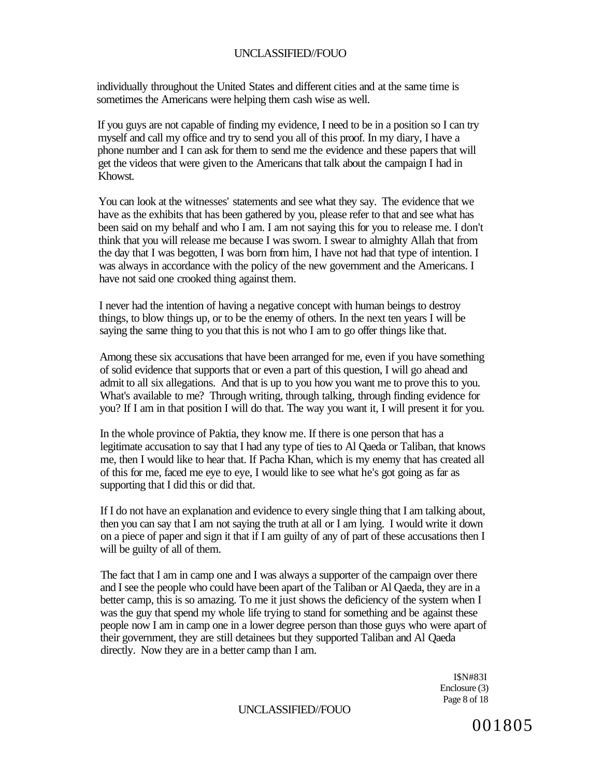individually throughout the United States and different cities and at the same time is sometimes the Americans were helping them cash wise as well.

If you guys are not capable of finding my evidence, I need to be in a position so I can try myself and call my office and try to send you all of this proof. In my diary, I have a phone number and I can ask for them to send me the evidence and these papers that will get the videos that were given to the Americans that talk about the campaign I had in Khowst.

You can look at the witnesses' statements and see what they say. The evidence that we have as the exhibits that has been gathered by you, please refer to that and see what has been said on my behalf and who I am. I am not saying this for you to release me. I don't think that you will release me because I was sworn. I swear to almighty Allah that from the day that I was begotten, I was born from him, I have not had that type of intention. I was always in accordance with the policy of the new government and the Americans. I have not said one crooked thing against them.

I never had the intention of having a negative concept with human beings to destroy things, to blow things up, or to be the enemy of others. In the next ten years I will be saying the same thing to you that this is not who I am to go offer things like that.

Among these six accusations that have been arranged for me, even if you have something of solid evidence that supports that or even a part of this question, I will go ahead and admit to all six allegations. And that is up to you how you want me to prove this to you. What's available to me? Through writing, through talking, through finding evidence for you? If I am in that position I will do that. The way you want it, I will present it for you.

In the whole province of Paktia, they know me. If there is one person that has a legitimate accusation to say that I had any type of ties to Al Qaeda or Taliban, that knows me, then I would like to hear that. If Pacha Khan, which is my enemy that has created all of this for me, faced me eye to eye, I would like to see what he's got going as far as supporting that I did this or did that.

If I do not have an explanation and evidence to every single thing that I am talking about, then you can say that  $\overline{I}$  am not saying the truth at all or I am lying. I would write it down on a piece of paper and sign it that if I am guilty of any of part of these accusations then I will be guilty of all of them.

The fact that I am in camp one and I was always a supporter of the campaign over there and I see the people who could have been apart of the Taliban or Al Qaeda, they are in a better camp, this is so amazing. To me it just shows the deficiency of the system when I was the guy that spend my whole life trying to stand for something and be against these people now I am in camp one in a lower degree person than those guys who were apart of their government, they are still detainees but they supported Taliban and Al Qaeda directly. Now they are in a better camp than I am.

> I\$N#83I Enclosure (3) Page 8 of 18

#### UNCLASSIFIED//FOUO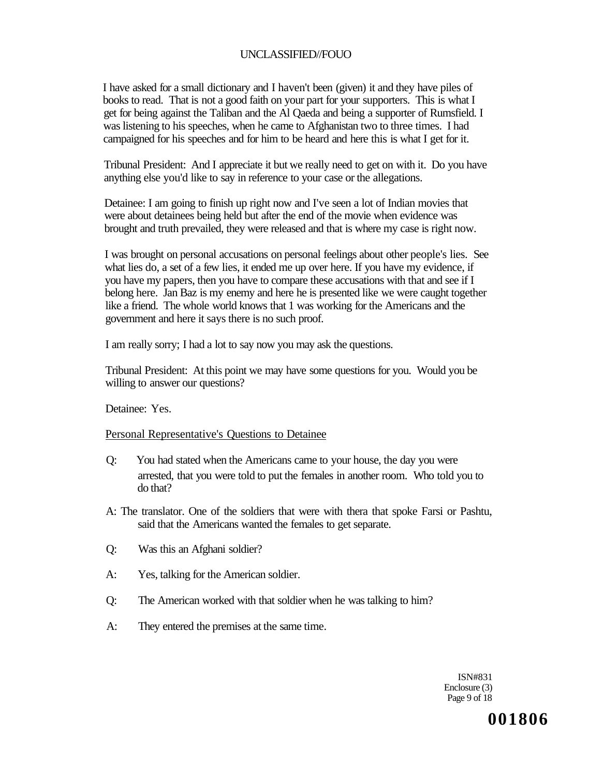I have asked for a small dictionary and I haven't been (given) it and they have piles of books to read. That is not a good faith on your part for your supporters. This is what I get for being against the Taliban and the Al Qaeda and being a supporter of Rumsfield. I was listening to his speeches, when he came to Afghanistan two to three times. I had campaigned for his speeches and for him to be heard and here this is what I get for it.

Tribunal President: And I appreciate it but we really need to get on with it. Do you have anything else you'd like to say in reference to your case or the allegations.

Detainee: I am going to finish up right now and I've seen a lot of Indian movies that were about detainees being held but after the end of the movie when evidence was brought and truth prevailed, they were released and that is where my case is right now.

I was brought on personal accusations on personal feelings about other people's lies. See what lies do, a set of a few lies, it ended me up over here. If you have my evidence, if you have my papers, then you have to compare these accusations with that and see if I belong here. Jan Baz is my enemy and here he is presented like we were caught together like a friend. The whole world knows that 1 was working for the Americans and the government and here it says there is no such proof.

I am really sorry; I had a lot to say now you may ask the questions.

Tribunal President: At this point we may have some questions for you. Would you be willing to answer our questions?

Detainee: Yes.

#### Personal Representative's Questions to Detainee

- Q: You had stated when the Americans came to your house, the day you were arrested, that you were told to put the females in another room. Who told you to do that?
- A: The translator. One of the soldiers that were with thera that spoke Farsi or Pashtu, said that the Americans wanted the females to get separate.
- Q: Was this an Afghani soldier?
- A: Yes, talking for the American soldier.
- Q: The American worked with that soldier when he was talking to him?
- A: They entered the premises at the same time.

ISN#831 Enclosure (3) Page 9 of 18

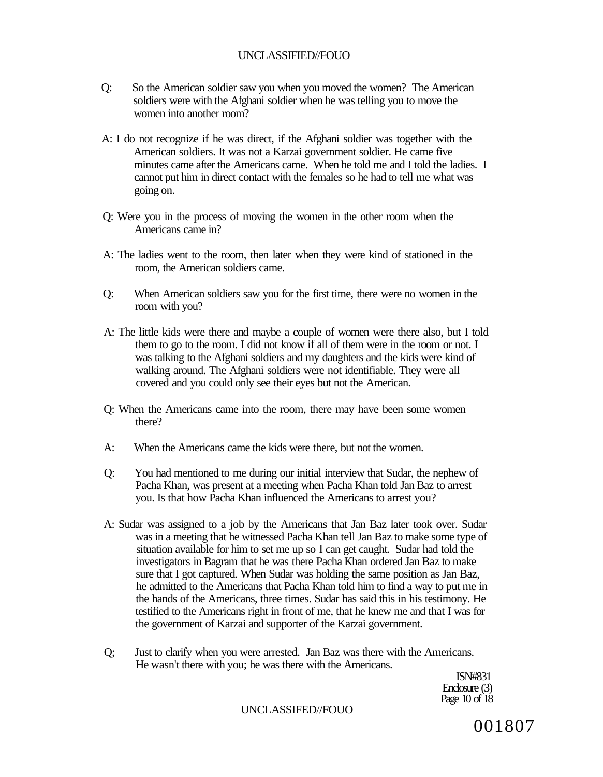- Q: So the American soldier saw you when you moved the women? The American soldiers were with the Afghani soldier when he was telling you to move the women into another room?
- A: I do not recognize if he was direct, if the Afghani soldier was together with the American soldiers. It was not a Karzai government soldier. He came five minutes came after the Americans came. When he told me and I told the ladies. I cannot put him in direct contact with the females so he had to tell me what was going on.
- Q: Were you in the process of moving the women in the other room when the Americans came in?
- A: The ladies went to the room, then later when they were kind of stationed in the room, the American soldiers came.
- Q: When American soldiers saw you for the first time, there were no women in the room with you?
- A: The little kids were there and maybe a couple of women were there also, but I told them to go to the room. I did not know if all of them were in the room or not. I was talking to the Afghani soldiers and my daughters and the kids were kind of walking around. The Afghani soldiers were not identifiable. They were all covered and you could only see their eyes but not the American.
- Q: When the Americans came into the room, there may have been some women there?
- A: When the Americans came the kids were there, but not the women.
- Q: You had mentioned to me during our initial interview that Sudar, the nephew of Pacha Khan, was present at a meeting when Pacha Khan told Jan Baz to arrest you. Is that how Pacha Khan influenced the Americans to arrest you?
- A: Sudar was assigned to a job by the Americans that Jan Baz later took over. Sudar was in a meeting that he witnessed Pacha Khan tell Jan Baz to make some type of situation available for him to set me up so I can get caught. Sudar had told the investigators in Bagram that he was there Pacha Khan ordered Jan Baz to make sure that I got captured. When Sudar was holding the same position as Jan Baz, he admitted to the Americans that Pacha Khan told him to find a way to put me in the hands of the Americans, three times. Sudar has said this in his testimony. He testified to the Americans right in front of me, that he knew me and that I was for the government of Karzai and supporter of the Karzai government.
- Q; Just to clarify when you were arrested. Jan Baz was there with the Americans. He wasn't there with you; he was there with the Americans.

ISN#831 Enclosure (3) Page 10 of 18

#### UNCLASSIFED//FOUO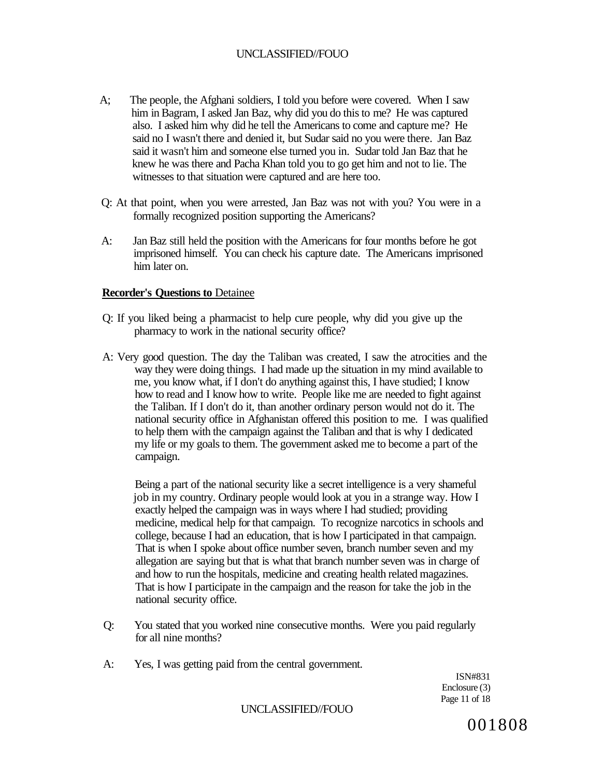- A; The people, the Afghani soldiers, I told you before were covered. When I saw him in Bagram, I asked Jan Baz, why did you do this to me? He was captured also. I asked him why did he tell the Americans to come and capture me? He said no I wasn't there and denied it, but Sudar said no you were there. Jan Baz said it wasn't him and someone else turned you in. Sudar told Jan Baz that he knew he was there and Pacha Khan told you to go get him and not to lie. The witnesses to that situation were captured and are here too.
- Q: At that point, when you were arrested, Jan Baz was not with you? You were in a formally recognized position supporting the Americans?
- A: Jan Baz still held the position with the Americans for four months before he got imprisoned himself. You can check his capture date. The Americans imprisoned him later on.

#### **Recorder's Questions to** Detainee

- Q: If you liked being a pharmacist to help cure people, why did you give up the pharmacy to work in the national security office?
- A: Very good question. The day the Taliban was created, I saw the atrocities and the way they were doing things. I had made up the situation in my mind available to me, you know what, if I don't do anything against this, I have studied; I know how to read and I know how to write. People like me are needed to fight against the Taliban. If I don't do it, than another ordinary person would not do it. The national security office in Afghanistan offered this position to me. I was qualified to help them with the campaign against the Taliban and that is why I dedicated my life or my goals to them. The government asked me to become a part of the campaign.

Being a part of the national security like a secret intelligence is a very shameful job in my country. Ordinary people would look at you in a strange way. How I exactly helped the campaign was in ways where I had studied; providing medicine, medical help for that campaign. To recognize narcotics in schools and college, because I had an education, that is how I participated in that campaign. That is when I spoke about office number seven, branch number seven and my allegation are saying but that is what that branch number seven was in charge of and how to run the hospitals, medicine and creating health related magazines. That is how I participate in the campaign and the reason for take the job in the national security office.

- Q: You stated that you worked nine consecutive months. Were you paid regularly for all nine months?
- A: Yes, I was getting paid from the central government.

ISN#831 Enclosure (3) Page 11 of 18

UNCLASSIFIED//FOUO

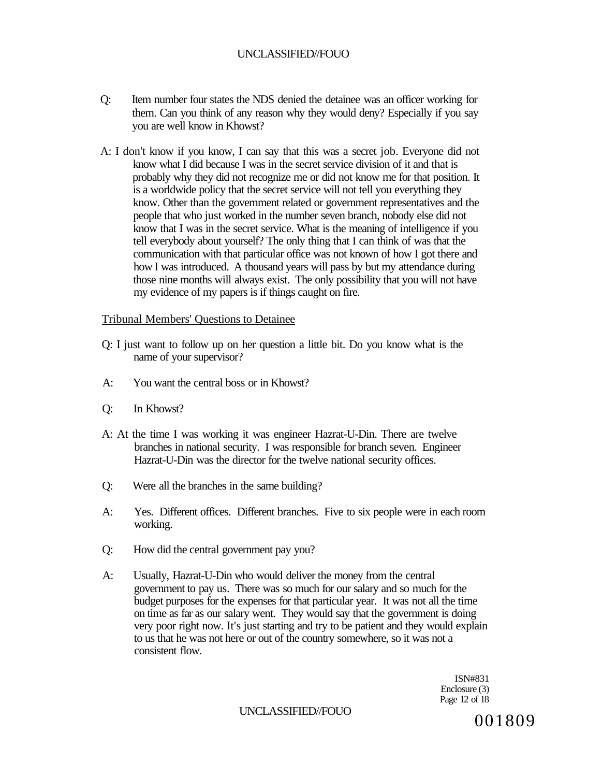- Q: Item number four states the NDS denied the detainee was an officer working for them. Can you think of any reason why they would deny? Especially if you say you are well know in Khowst?
- A: I don't know if you know, I can say that this was a secret job. Everyone did not know what I did because I was in the secret service division of it and that is probably why they did not recognize me or did not know me for that position. It is a worldwide policy that the secret service will not tell you everything they know. Other than the government related or government representatives and the people that who just worked in the number seven branch, nobody else did not know that I was in the secret service. What is the meaning of intelligence if you tell everybody about yourself? The only thing that I can think of was that the communication with that particular office was not known of how I got there and how I was introduced. A thousand years will pass by but my attendance during those nine months will always exist. The only possibility that you will not have my evidence of my papers is if things caught on fire.

#### Tribunal Members' Questions to Detainee

- Q: I just want to follow up on her question a little bit. Do you know what is the name of your supervisor?
- A: You want the central boss or in Khowst?
- Q: In Khowst?
- A: At the time I was working it was engineer Hazrat-U-Din. There are twelve branches in national security. I was responsible for branch seven. Engineer Hazrat-U-Din was the director for the twelve national security offices.
- Q: Were all the branches in the same building?
- A: Yes. Different offices. Different branches. Five to six people were in each room working.
- Q: How did the central government pay you?
- A: Usually, Hazrat-U-Din who would deliver the money from the central government to pay us. There was so much for our salary and so much for the budget purposes for the expenses for that particular year. It was not all the time on time as far as our salary went. They would say that the government is doing very poor right now. It's just starting and try to be patient and they would explain to us that he was not here or out of the country somewhere, so it was not a consistent flow.

ISN#831 Enclosure (3) Page 12 of 18

UNCLASSIFIED//FOUO 001809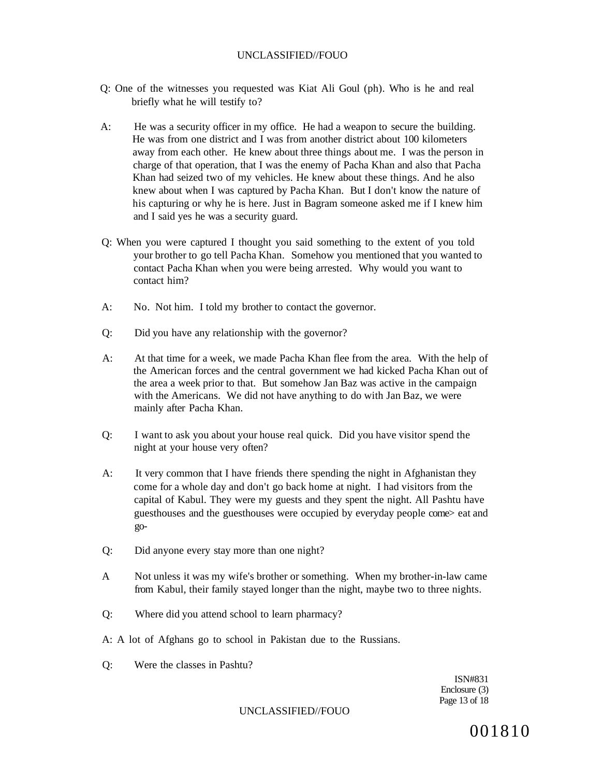- Q: One of the witnesses you requested was Kiat Ali Goul (ph). Who is he and real briefly what he will testify to?
- A: He was a security officer in my office. He had a weapon to secure the building. He was from one district and I was from another district about 100 kilometers away from each other. He knew about three things about me. I was the person in charge of that operation, that I was the enemy of Pacha Khan and also that Pacha Khan had seized two of my vehicles. He knew about these things. And he also knew about when I was captured by Pacha Khan. But I don't know the nature of his capturing or why he is here. Just in Bagram someone asked me if I knew him and I said yes he was a security guard.
- Q: When you were captured I thought you said something to the extent of you told your brother to go tell Pacha Khan. Somehow you mentioned that you wanted to contact Pacha Khan when you were being arrested. Why would you want to contact him?
- A: No. Not him. I told my brother to contact the governor.
- Q: Did you have any relationship with the governor?
- A: At that time for a week, we made Pacha Khan flee from the area. With the help of the American forces and the central government we had kicked Pacha Khan out of the area a week prior to that. But somehow Jan Baz was active in the campaign with the Americans. We did not have anything to do with Jan Baz, we were mainly after Pacha Khan.
- Q: I want to ask you about your house real quick. Did you have visitor spend the night at your house very often?
- A: It very common that I have friends there spending the night in Afghanistan they come for a whole day and don't go back home at night. I had visitors from the capital of Kabul. They were my guests and they spent the night. All Pashtu have guesthouses and the guesthouses were occupied by everyday people come> eat and go-
- Q: Did anyone every stay more than one night?
- A Not unless it was my wife's brother or something. When my brother-in-law came from Kabul, their family stayed longer than the night, maybe two to three nights.
- Q: Where did you attend school to learn pharmacy?
- A: A lot of Afghans go to school in Pakistan due to the Russians.
- Q: Were the classes in Pashtu?

ISN#831 Enclosure (3) Page 13 of 18

UNCLASSIFIED//FOUO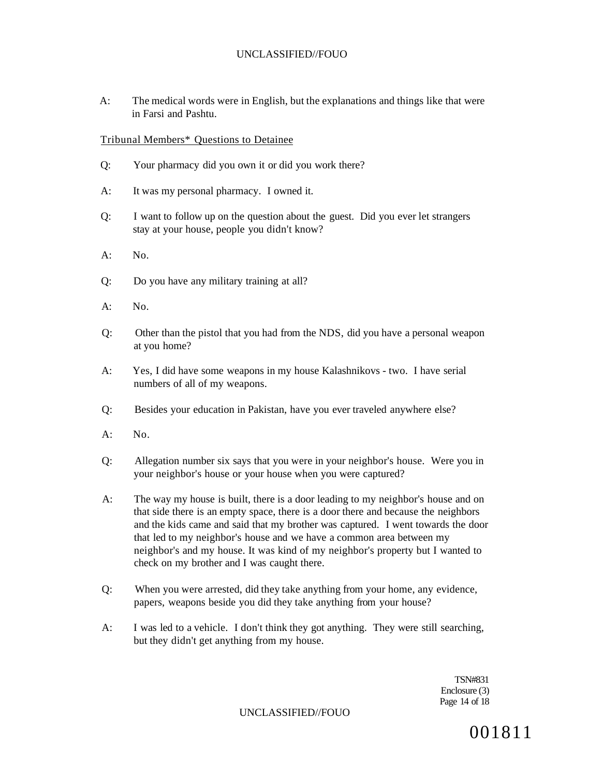A: The medical words were in English, but the explanations and things like that were in Farsi and Pashtu.

#### Tribunal Members\* Questions to Detainee

- Q: Your pharmacy did you own it or did you work there?
- A: It was my personal pharmacy. I owned it.
- Q: I want to follow up on the question about the guest. Did you ever let strangers stay at your house, people you didn't know?
- $A^T$  No.
- Q: Do you have any military training at all?
- A: No.
- Q: Other than the pistol that you had from the NDS, did you have a personal weapon at you home?
- A: Yes, I did have some weapons in my house Kalashnikovs two. I have serial numbers of all of my weapons.
- Q: Besides your education in Pakistan, have you ever traveled anywhere else?
- $A:$  No.
- Q: Allegation number six says that you were in your neighbor's house. Were you in your neighbor's house or your house when you were captured?
- A: The way my house is built, there is a door leading to my neighbor's house and on that side there is an empty space, there is a door there and because the neighbors and the kids came and said that my brother was captured. I went towards the door that led to my neighbor's house and we have a common area between my neighbor's and my house. It was kind of my neighbor's property but I wanted to check on my brother and I was caught there.
- Q: When you were arrested, did they take anything from your home, any evidence, papers, weapons beside you did they take anything from your house?
- A: I was led to a vehicle. I don't think they got anything. They were still searching, but they didn't get anything from my house.

TSN#831 Enclosure (3) Page 14 of 18

UNCLASSIFIED//FOUO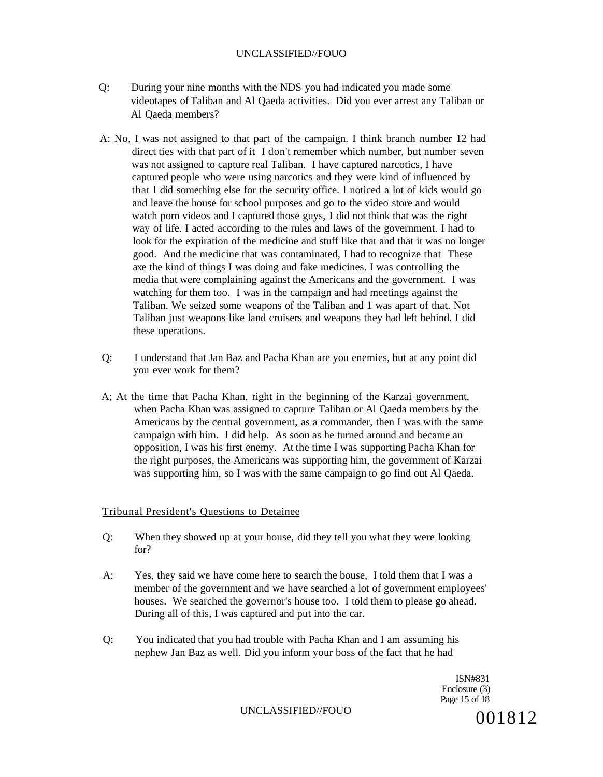- Q: During your nine months with the NDS you had indicated you made some videotapes of Taliban and Al Qaeda activities. Did you ever arrest any Taliban or Al Qaeda members?
- A: No, I was not assigned to that part of the campaign. I think branch number 12 had direct ties with that part of it I don't remember which number, but number seven was not assigned to capture real Taliban. I have captured narcotics, I have captured people who were using narcotics and they were kind of influenced by that I did something else for the security office. I noticed a lot of kids would go and leave the house for school purposes and go to the video store and would watch porn videos and I captured those guys, I did not think that was the right way of life. I acted according to the rules and laws of the government. I had to look for the expiration of the medicine and stuff like that and that it was no longer good. And the medicine that was contaminated, I had to recognize that These axe the kind of things I was doing and fake medicines. I was controlling the media that were complaining against the Americans and the government. I was watching for them too. I was in the campaign and had meetings against the Taliban. We seized some weapons of the Taliban and 1 was apart of that. Not Taliban just weapons like land cruisers and weapons they had left behind. I did these operations.
- Q: I understand that Jan Baz and Pacha Khan are you enemies, but at any point did you ever work for them?
- A; At the time that Pacha Khan, right in the beginning of the Karzai government, when Pacha Khan was assigned to capture Taliban or Al Qaeda members by the Americans by the central government, as a commander, then I was with the same campaign with him. I did help. As soon as he turned around and became an opposition, I was his first enemy. At the time I was supporting Pacha Khan for the right purposes, the Americans was supporting him, the government of Karzai was supporting him, so I was with the same campaign to go find out Al Qaeda.

#### Tribunal President's Questions to Detainee

- Q: When they showed up at your house, did they tell you what they were looking for?
- A: Yes, they said we have come here to search the bouse, I told them that I was a member of the government and we have searched a lot of government employees' houses. We searched the governor's house too. I told them to please go ahead. During all of this, I was captured and put into the car.
- Q: You indicated that you had trouble with Pacha Khan and I am assuming his nephew Jan Baz as well. Did you inform your boss of the fact that he had

ISN#831 Enclosure (3) Page 15 of 18

UNCLASSIFIED//FOUO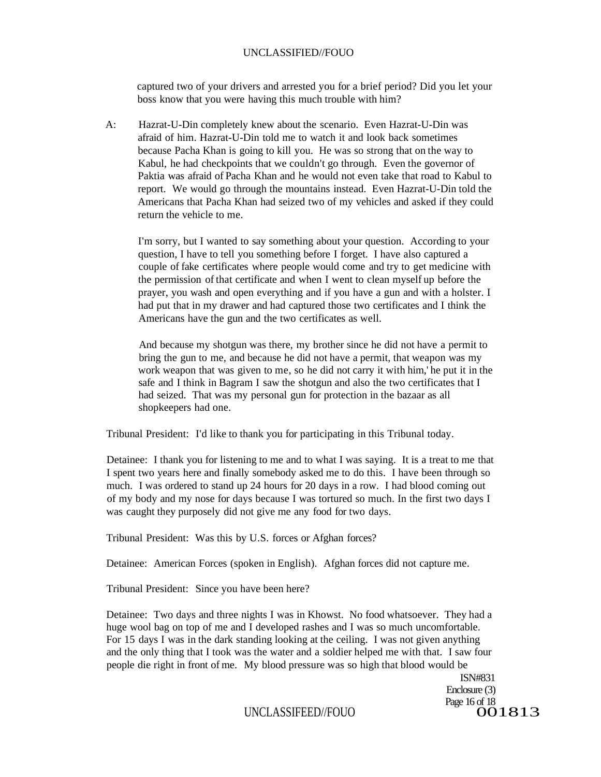captured two of your drivers and arrested you for a brief period? Did you let your boss know that you were having this much trouble with him?

A: Hazrat-U-Din completely knew about the scenario. Even Hazrat-U-Din was afraid of him. Hazrat-U-Din told me to watch it and look back sometimes because Pacha Khan is going to kill you. He was so strong that on the way to Kabul, he had checkpoints that we couldn't go through. Even the governor of Paktia was afraid of Pacha Khan and he would not even take that road to Kabul to report. We would go through the mountains instead. Even Hazrat-U-Din told the Americans that Pacha Khan had seized two of my vehicles and asked if they could return the vehicle to me.

I'm sorry, but I wanted to say something about your question. According to your question, I have to tell you something before I forget. I have also captured a couple of fake certificates where people would come and try to get medicine with the permission of that certificate and when I went to clean myself up before the prayer, you wash and open everything and if you have a gun and with a holster. I had put that in my drawer and had captured those two certificates and I think the Americans have the gun and the two certificates as well.

And because my shotgun was there, my brother since he did not have a permit to bring the gun to me, and because he did not have a permit, that weapon was my work weapon that was given to me, so he did not carry it with him,' he put it in the safe and I think in Bagram I saw the shotgun and also the two certificates that I had seized. That was my personal gun for protection in the bazaar as all shopkeepers had one.

Tribunal President: I'd like to thank you for participating in this Tribunal today.

Detainee: I thank you for listening to me and to what I was saying. It is a treat to me that I spent two years here and finally somebody asked me to do this. I have been through so much. I was ordered to stand up 24 hours for 20 days in a row. I had blood coming out of my body and my nose for days because I was tortured so much. In the first two days I was caught they purposely did not give me any food for two days.

Tribunal President: Was this by U.S. forces or Afghan forces?

Detainee: American Forces (spoken in English). Afghan forces did not capture me.

Tribunal President: Since you have been here?

Detainee: Two days and three nights I was in Khowst. No food whatsoever. They had a huge wool bag on top of me and I developed rashes and I was so much uncomfortable. For 15 days I was in the dark standing looking at the ceiling. I was not given anything and the only thing that I took was the water and a soldier helped me with that. I saw four people die right in front of me. My blood pressure was so high that blood would be

> ISN#831 Enclosure (3) Page 16 of 18<br>OO 1813

UNCLASSIFEED//FOUO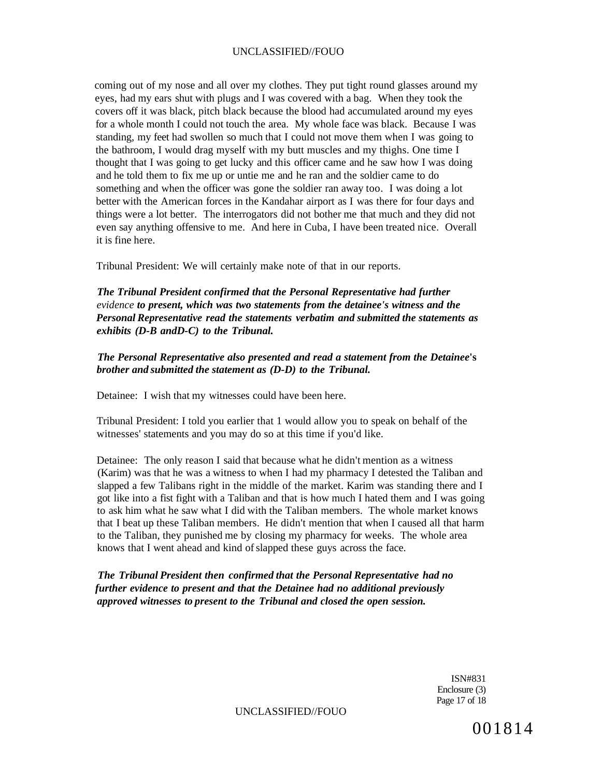coming out of my nose and all over my clothes. They put tight round glasses around my eyes, had my ears shut with plugs and I was covered with a bag. When they took the covers off it was black, pitch black because the blood had accumulated around my eyes for a whole month I could not touch the area. My whole face was black. Because I was standing, my feet had swollen so much that I could not move them when I was going to the bathroom, I would drag myself with my butt muscles and my thighs. One time I thought that I was going to get lucky and this officer came and he saw how I was doing and he told them to fix me up or untie me and he ran and the soldier came to do something and when the officer was gone the soldier ran away too. I was doing a lot better with the American forces in the Kandahar airport as I was there for four days and things were a lot better. The interrogators did not bother me that much and they did not even say anything offensive to me. And here in Cuba, I have been treated nice. Overall it is fine here.

Tribunal President: We will certainly make note of that in our reports.

*The Tribunal President confirmed that the Personal Representative had further evidence to present, which was two statements from the detainee's witness and the Personal Representative read the statements verbatim and submitted the statements as exhibits (D-B andD-C) to the Tribunal.* 

*The Personal Representative also presented and read a statement from the Detainee***'s**  *brother and submitted the statement as (D-D) to the Tribunal.* 

Detainee: I wish that my witnesses could have been here.

Tribunal President: I told you earlier that 1 would allow you to speak on behalf of the witnesses' statements and you may do so at this time if you'd like.

Detainee: The only reason I said that because what he didn't mention as a witness (Karim) was that he was a witness to when I had my pharmacy I detested the Taliban and slapped a few Talibans right in the middle of the market. Karim was standing there and I got like into a fist fight with a Taliban and that is how much I hated them and I was going to ask him what he saw what I did with the Taliban members. The whole market knows that I beat up these Taliban members. He didn't mention that when I caused all that harm to the Taliban, they punished me by closing my pharmacy for weeks. The whole area knows that I went ahead and kind of slapped these guys across the face.

*The Tribunal President then confirmed that the Personal Representative had no further evidence to present and that the Detainee had no additional previously approved witnesses to present to the Tribunal and closed the open session.* 

> ISN#831 Enclosure (3) Page 17 of 18

UNCLASSIFIED//FOUO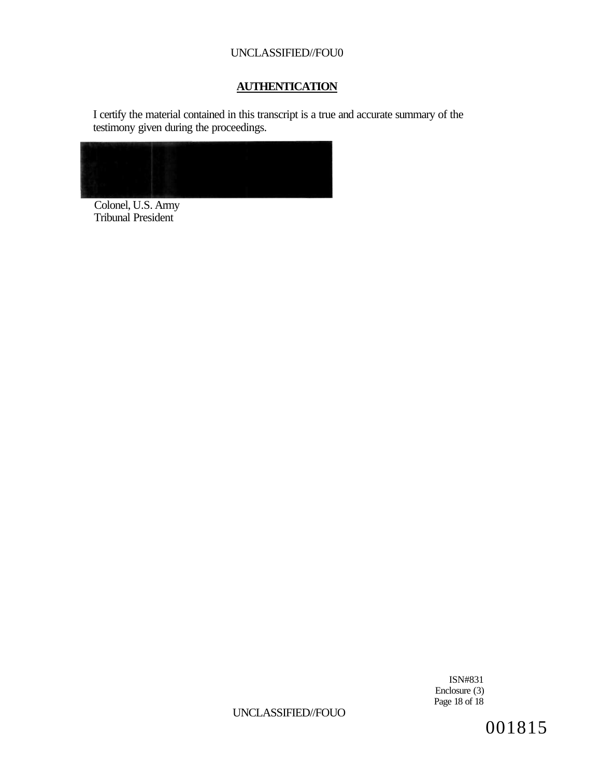# **AUTHENTICATION**

I certify the material contained in this transcript is a true and accurate summary of the testimony given during the proceedings.



Colonel, U.S. Army Tribunal President

> ISN#831 Enclosure (3) Page 18 of 18

# UNCLASSIFIED//FOUO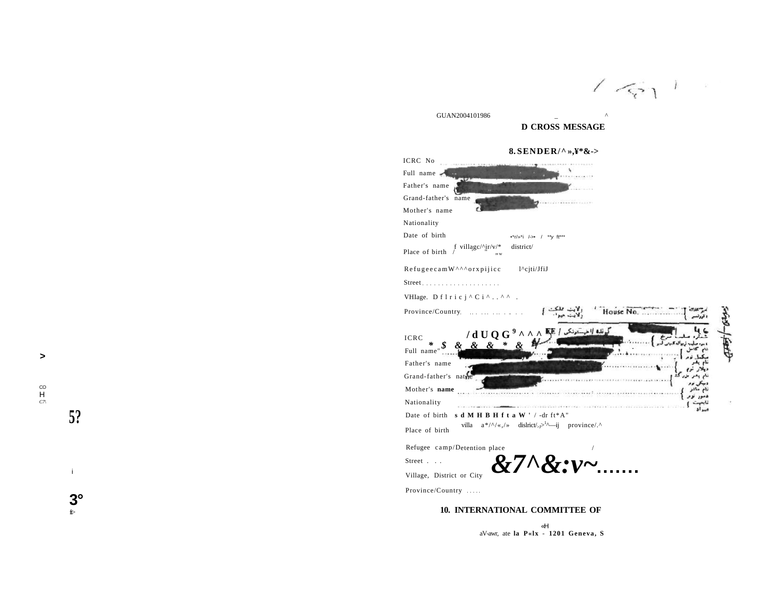$151$  $\sim$   $\sim$ 

GUAN200410198  $\sim$   $\sim$   $\sim$   $\sim$ 

# **D CROSS MESSAGE 8. SENDER/^ »,¥\*&->**

Street . . . Village, District or City

*&7^&:v~* 

Province/Country

#### 10. INTERNATIONAL COMMITTEE OF

«H aV-awr, at e **l a P«l x** - **120 1 Geneva , S** 

i

**5?**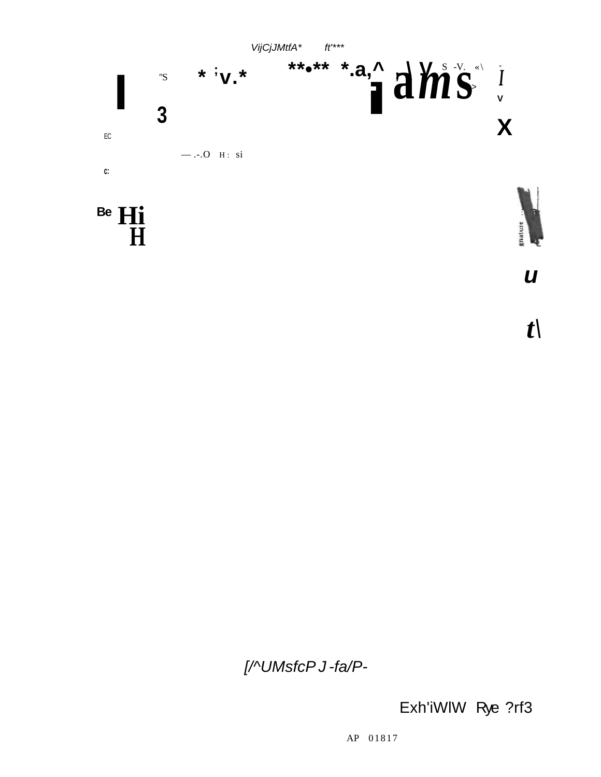

[/^UMsfcP J-fa/P-

Exh'iWlW Rye ?rf3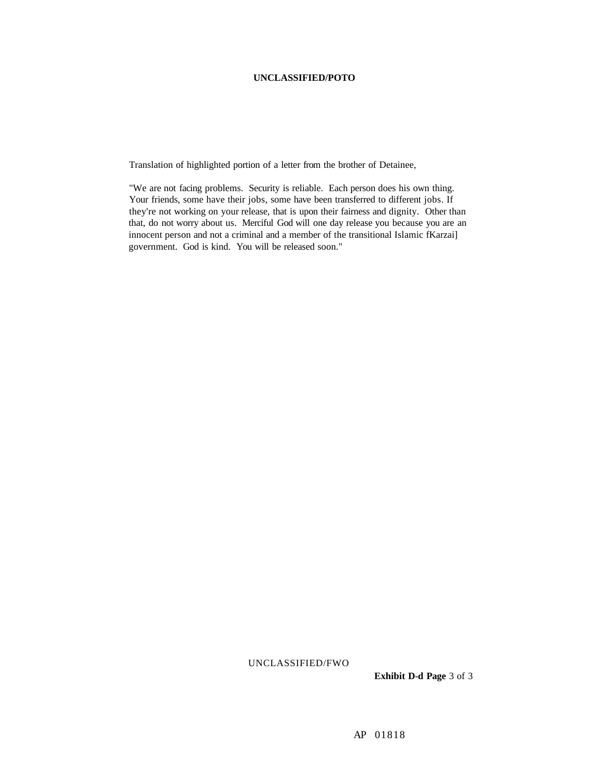#### **UNCLASSIFIED/POTO**

Translation of highlighted portion of a letter from the brother of Detainee,

"We are not facing problems. Security is reliable. Each person does his own thing. Your friends, some have their jobs, some have been transferred to different jobs. If they're not working on your release, that is upon their fairness and dignity. Other than that, do not worry about us. Merciful God will one day release you because you are an innocent person and not a criminal and a member of the transitional Islamic fKarzai] government. God is kind. You will be released soon."

UNCLASSIFIED/FWO

**Exhibit D-d Page** 3 of 3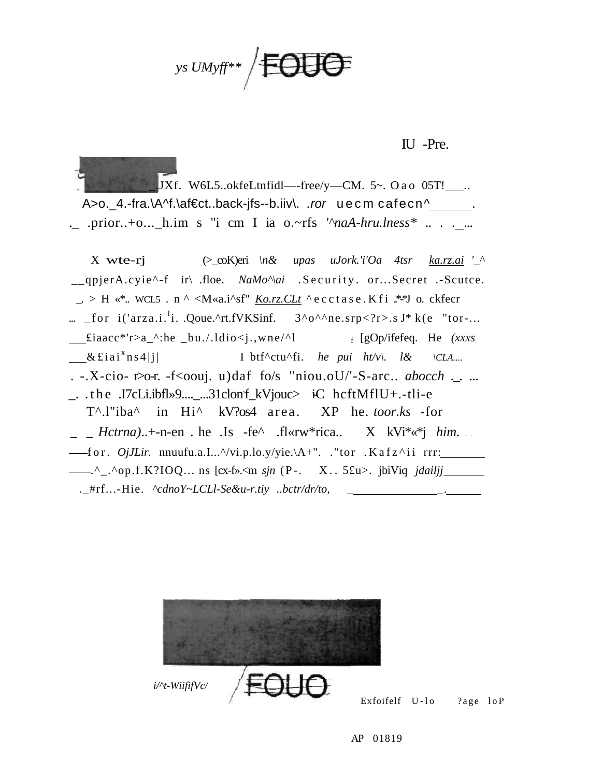**JUGE** *ys UMyff\*\** 

# IU -Pre.

JXf. W6L5..okfeLtnfidl—-free/y—CM. 5~. Oa o 05T! $\_\_$ . A>o.\_4.-fra.\A^f.\af€ct..back-jfs--b.iiv\. .ror uecm cafecn^ .............. .\_ .prior..+o...\_h.im s "i cm I ia o.~rfs *'^naA-hru.lness\** .. *. .* ...

X wte-rj (>\_coK)eri *\n& upas uJork.'i'Oa 4tsr [ka.rz.ai](http://ka.rz.ai) '\_^*  \_\_qpjerA.cyie<sup>^</sup>-f ir\ .floe. *NaMo*<sup> $\land$ </sup>*ai* .Security .or...Secret .-Scutce.  $\therefore$  > H «\*.. WCL5 . n ^ <M«a.i^sf" *[Ko.rz.CLt](http://Ko.rz.CLt)* ^ ecctase. K fi .\*\*J o. ckfecr ...  $_{\text{for}}$  i('arza.i.<sup>1</sup>i. .Qoue.^rt.fVKSinf.  $3^0$ <sup>o $^{\wedge}$ ne.srp<?r>.s J\* k(e "tor-...</sup>  $\text{fiaacc*}$ 'r>a\_^:he \_bu./.ldio<j.,wne/^l [gOp/ifefeq. He *(xxxs*   $x$ £iai<sup>x</sup>ns4|i| I btf^ctu^fi. *he pui ht/v*\. *l&* \CLA.... . -.X-cio- r>o-r. -f<oouj. u)daf fo/s "niou.oU/'-S-arc.. *abocch* ..... \_. .the .I7cLi.ibfl»9....\_...31clonf\_kVjouc> iC hcftMflU+.-tli-e T^.l"iba^ in Hi^ kV?os4 area . XP he. *toor.ks* -for \_ \_ *Hctrna)*..+-n-en . he .Is -fe^ .fl«rw\*rica.. X kVi\*«\*j *him.*  for . *OjJLir.* nnuufu.a.I...^/vi.p.lo.y/yie.\A+". ."tor .Kafz^i i rrr: ----<sup>^</sup>\_.^op.f.K?IOQ... ns [cx-f».<m *sjn* (P-. X. 5£u>. jbiViq *jdailjj imital* .\_#rf...-Hie. ^cdnoY~LCLl-Se&u-r.tiy ..bctr/dr/to,



Exfoifelf U-lo ?age loP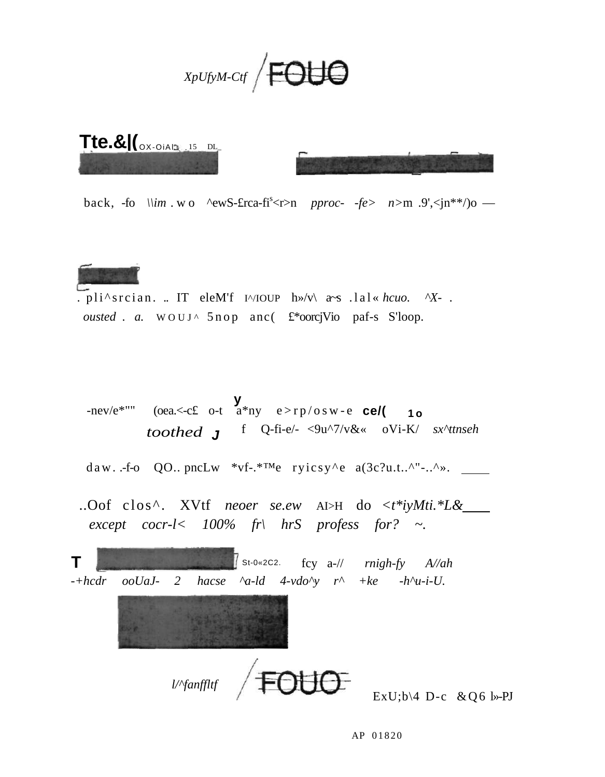



back, -fo  $\lim_{m \to \infty}$  ^ewS-£rca-fi<sup>s</sup> <r>>  $r > n$  *pproc- -fe> n>m* .9', <jn\*\*/)o —



. pli^srcian. .. IT eleM'f I^/IOUP  $h \gg /v \ll 1$  a~s .lal« *hcuo.* ^X- . *ousted . a.* WOUJ^ 5nop anc( £\*oorcjVio paf-s S'loop.

**y**  -nev/e<sup>\*""</sup> (oea.<-c£ o-t a<sup>\*</sup>ny e>rp/osw-e **ce/( 10** *toothed* **J** f Q-fi-e/- <9u^7/v&« oVi-K/ *sx^ttnseh* 

daw. .-f-o QO.. pncLw  $*$ vf- $*^{\text{TM}}$ e ryicsy^e a(3c?u.t..^"-..^». \_\_\_\_\_

..Oof clos^. XVtf *neoer se.ew* AI>H do *<t\*iyMti.\*L& except cocr-l< 100% fr\ hrS profess for? ~.* 

| $\mathbf T$ |                                                                                                           |                                                                                                                                                                                                                                                                                                                                                                      |  |  | St-0*2C2. fcy a-// $mighfy$ $A/ah$ |  |
|-------------|-----------------------------------------------------------------------------------------------------------|----------------------------------------------------------------------------------------------------------------------------------------------------------------------------------------------------------------------------------------------------------------------------------------------------------------------------------------------------------------------|--|--|------------------------------------|--|
|             | $-+hcdr$ ooUaJ- 2 hacse $\alpha$ -ld 4-vdo $\gamma$ r <sup><math>\land</math></sup> +ke -h $\alpha$ -i-U. |                                                                                                                                                                                                                                                                                                                                                                      |  |  |                                    |  |
|             |                                                                                                           |                                                                                                                                                                                                                                                                                                                                                                      |  |  |                                    |  |
|             |                                                                                                           | $\frac{1}{\sqrt{2}}$ l/ $\frac{1}{\sqrt{2}}$ l/ $\frac{1}{\sqrt{2}}$ l/ $\frac{1}{\sqrt{2}}$ l/ $\frac{1}{\sqrt{2}}$ l/ $\frac{1}{\sqrt{2}}$ l/ $\frac{1}{\sqrt{2}}$ l/ $\frac{1}{\sqrt{2}}$ l/ $\frac{1}{\sqrt{2}}$ l/ $\frac{1}{\sqrt{2}}$ l/ $\frac{1}{\sqrt{2}}$ l/ $\frac{1}{\sqrt{2}}$ l/ $\frac{1}{\sqrt{2}}$ l/ $\frac{1}{\sqrt{2}}$ l/ $\frac{1}{\sqrt{2}}$ |  |  | ExU;b\4 D-c & Q6                   |  |

 $l$ »-PJ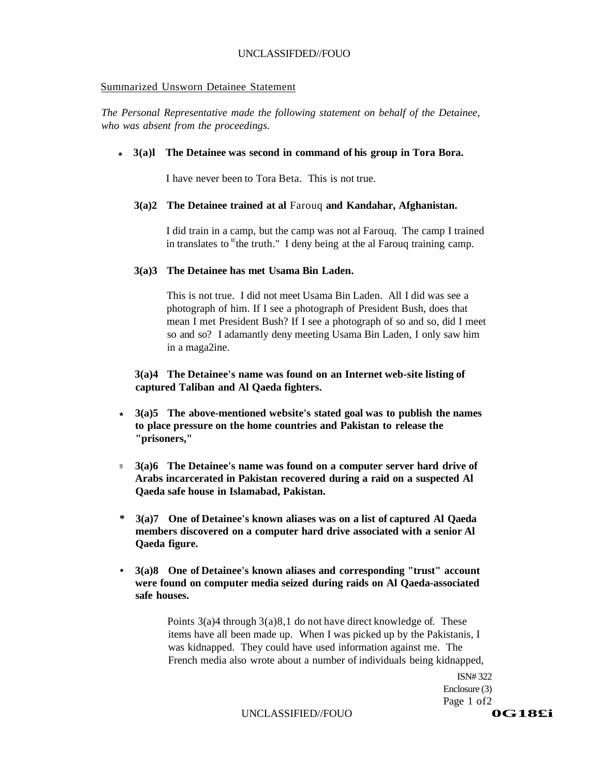#### Summarized Unsworn Detainee Statement

*The Personal Representative made the following statement on behalf of the Detainee, who was absent from the proceedings.* 

#### **\* 3(a)l The Detainee was second in command of his group in Tora Bora.**

I have never been to Tora Beta. This is not true.

#### **3(a)2 The Detainee trained at al** Farouq **and Kandahar, Afghanistan.**

I did train in a camp, but the camp was not al Farouq. The camp I trained in translates to  ${}^{\text{tc}}$ the truth." I deny being at the al Farouq training camp.

#### **3(a)3 The Detainee has met Usama Bin Laden.**

This is not true. I did not meet Usama Bin Laden. All I did was see a photograph of him. If I see a photograph of President Bush, does that mean I met President Bush? If I see a photograph of so and so, did I meet so and so? I adamantly deny meeting Usama Bin Laden, I only saw him in a maga2ine.

**3(a)4 The Detainee's name was found on an Internet web-site listing of captured Taliban and Al Qaeda fighters.** 

- **3(a)5 The above-mentioned website's stated goal was to publish the names to place pressure on the home countries and Pakistan to release the "prisoners," \***
- **3(a)6 The Detainee's name was found on a computer server hard drive of Arabs incarcerated in Pakistan recovered during a raid on a suspected Al Qaeda safe house in Islamabad, Pakistan.**  9
- **\* 3(a)7 One of Detainee's known aliases was on a list of captured Al Qaeda members discovered on a computer hard drive associated with a senior Al Qaeda figure.**
- **3(a)8 One of Detainee's known aliases and corresponding "trust" account were found on computer media seized during raids on Al Qaeda-associated safe houses.**

Points 3(a)4 through 3(a)8,1 do not have direct knowledge of. These items have all been made up. When I was picked up by the Pakistanis, I was kidnapped. They could have used information against me. The French media also wrote about a number of individuals being kidnapped,

> ISN# 322 Enclosure (3) Page 1 of2

UNCLASSIFIED//FOUO<br> **OG18£i**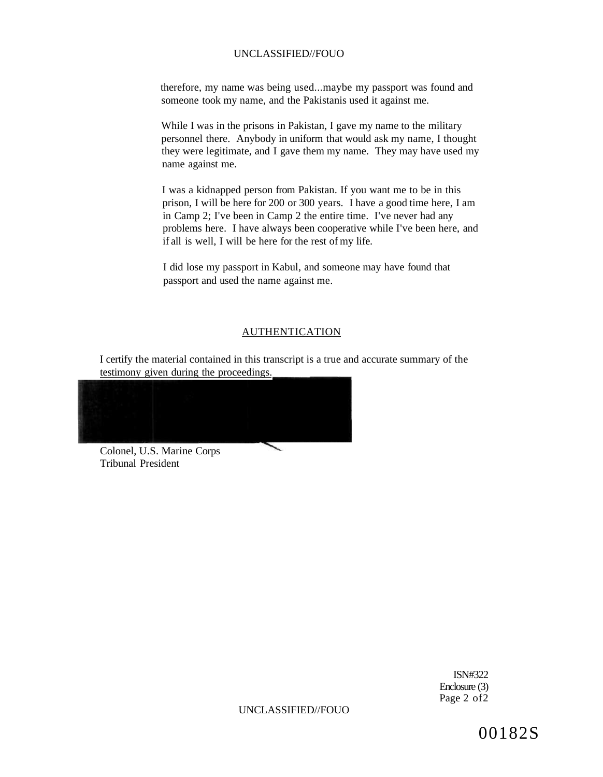therefore, my name was being used...maybe my passport was found and someone took my name, and the Pakistanis used it against me.

While I was in the prisons in Pakistan, I gave my name to the military personnel there. Anybody in uniform that would ask my name, I thought they were legitimate, and I gave them my name. They may have used my name against me.

I was a kidnapped person from Pakistan. If you want me to be in this prison, I will be here for 200 or 300 years. I have a good time here, I am in Camp 2; I've been in Camp 2 the entire time. I've never had any problems here. I have always been cooperative while I've been here, and if all is well, I will be here for the rest of my life.

I did lose my passport in Kabul, and someone may have found that passport and used the name against me.

#### AUTHENTICATION

I certify the material contained in this transcript is a true and accurate summary of the testimony given during the proceedings.

 $\overline{\phantom{0}}$ 

Colonel, U.S. Marine Corps Tribunal President

> ISN#322 Enclosure (3) Page 2 of 2

UNCLASSIFIED//FOUO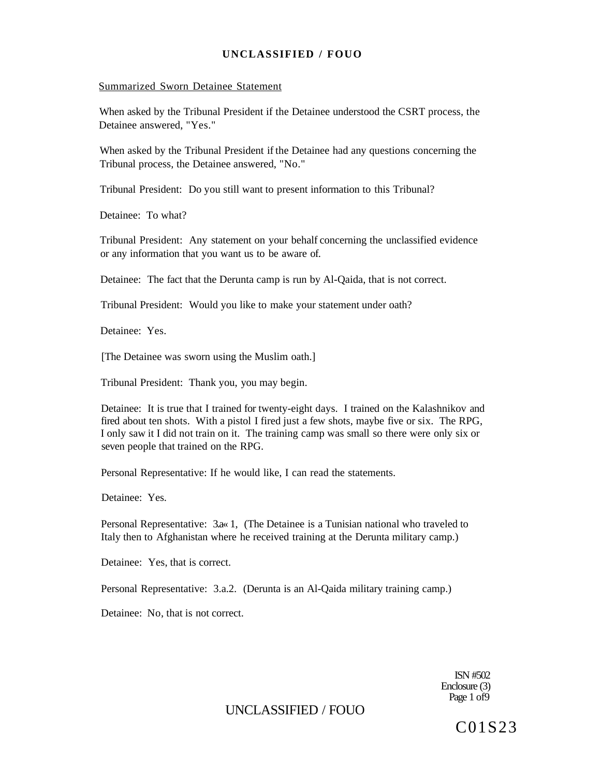#### Summarized Sworn Detainee Statement

When asked by the Tribunal President if the Detainee understood the CSRT process, the Detainee answered, "Yes."

When asked by the Tribunal President if the Detainee had any questions concerning the Tribunal process, the Detainee answered, "No."

Tribunal President: Do you still want to present information to this Tribunal?

Detainee: To what?

Tribunal President: Any statement on your behalf concerning the unclassified evidence or any information that you want us to be aware of.

Detainee: The fact that the Derunta camp is run by Al-Qaida, that is not correct.

Tribunal President: Would you like to make your statement under oath?

Detainee: Yes.

[The Detainee was sworn using the Muslim oath.]

Tribunal President: Thank you, you may begin.

Detainee: It is true that I trained for twenty-eight days. I trained on the Kalashnikov and fired about ten shots. With a pistol I fired just a few shots, maybe five or six. The RPG, I only saw it I did not train on it. The training camp was small so there were only six or seven people that trained on the RPG.

Personal Representative: If he would like, I can read the statements.

Detainee: Yes.

Personal Representative: 3.a« 1, (The Detainee is a Tunisian national who traveled to Italy then to Afghanistan where he received training at the Derunta military camp.)

Detainee: Yes, that is correct.

Personal Representative: 3.a.2. (Derunta is an Al-Qaida military training camp.)

Detainee: No, that is not correct.

ISN #502 Enclosure (3) Page 1 of 9

# UNCLASSIFIED / FOUO

C01S23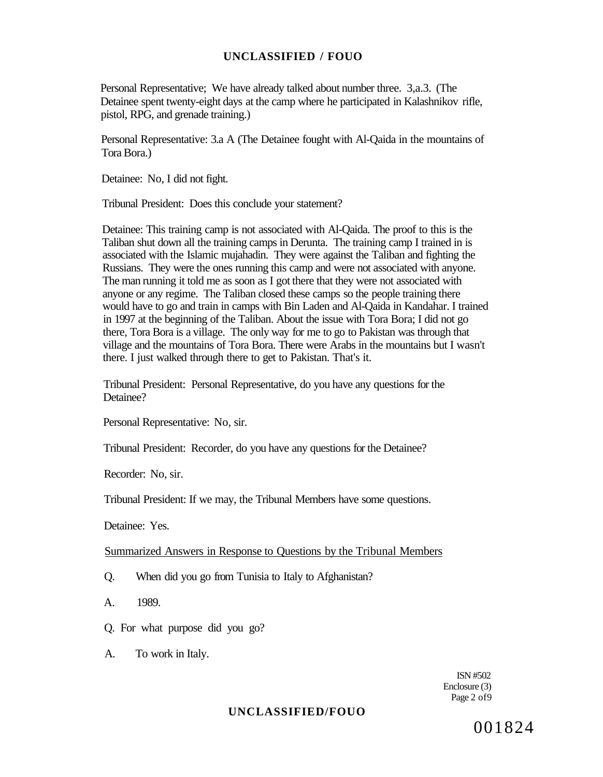Personal Representative; We have already talked about number three. 3,a.3. (The Detainee spent twenty-eight days at the camp where he participated in Kalashnikov rifle, pistol, RPG, and grenade training.)

Personal Representative: 3.a A (The Detainee fought with Al-Qaida in the mountains of Tora Bora.)

Detainee: No, I did not fight.

Tribunal President: Does this conclude your statement?

Detainee: This training camp is not associated with Al-Qaida. The proof to this is the Taliban shut down all the training camps in Derunta. The training camp I trained in is associated with the Islamic mujahadin. They were against the Taliban and fighting the Russians. They were the ones running this camp and were not associated with anyone. The man running it told me as soon as I got there that they were not associated with anyone or any regime. The Taliban closed these camps so the people training there would have to go and train in camps with Bin Laden and Al-Qaida in Kandahar. I trained in 1997 at the beginning of the Taliban. About the issue with Tora Bora; I did not go there, Tora Bora is a village. The only way for me to go to Pakistan was through that village and the mountains of Tora Bora. There were Arabs in the mountains but I wasn't there. I just walked through there to get to Pakistan. That's it.

Tribunal President: Personal Representative, do you have any questions for the Detainee?

Personal Representative: No, sir.

Tribunal President: Recorder, do you have any questions for the Detainee?

Recorder: No, sir.

Tribunal President: If we may, the Tribunal Members have some questions.

Detainee: Yes.

Summarized Answers in Response to Questions by the Tribunal Members

Q. When did you go from Tunisia to Italy to Afghanistan?

A. 1989.

- Q. For what purpose did you go?
- A. To work in Italy.

ISN #502 Enclosure (3) Page 2 of 9

#### **UNCLASSIFIED/FOUO**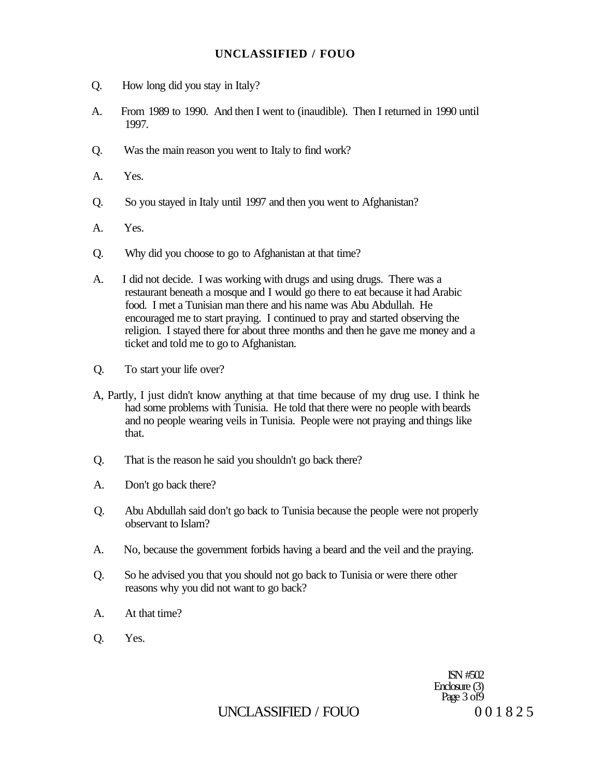- Q. How long did you stay in Italy?
- A. From 1989 to 1990. And then I went to (inaudible). Then I returned in 1990 until 1997.
- Q. Was the main reason you went to Italy to find work?
- A. Yes.
- Q. So you stayed in Italy until 1997 and then you went to Afghanistan?
- A. Yes.
- Q. Why did you choose to go to Afghanistan at that time?
- A. I did not decide. I was working with drugs and using drugs. There was a restaurant beneath a mosque and I would go there to eat because it had Arabic food. I met a Tunisian man there and his name was Abu Abdullah. He encouraged me to start praying. I continued to pray and started observing the religion. I stayed there for about three months and then he gave me money and a ticket and told me to go to Afghanistan.
- Q. To start your life over?
- A, Partly, I just didn't know anything at that time because of my drug use. I think he had some problems with Tunisia. He told that there were no people with beards and no people wearing veils in Tunisia. People were not praying and things like that.
- Q. That is the reason he said you shouldn't go back there?
- A. Don't go back there?
- Q. Abu Abdullah said don't go back to Tunisia because the people were not properly observant to Islam?
- A. No, because the government forbids having a beard and the veil and the praying.
- Q. So he advised you that you should not go back to Tunisia or were there other reasons why you did not want to go back?
- A. At that time?
- Q. Yes.

ISN #502 Enclosure (3) Page 3 of 9

# UNCLASSIFIED / FOUO  $001825$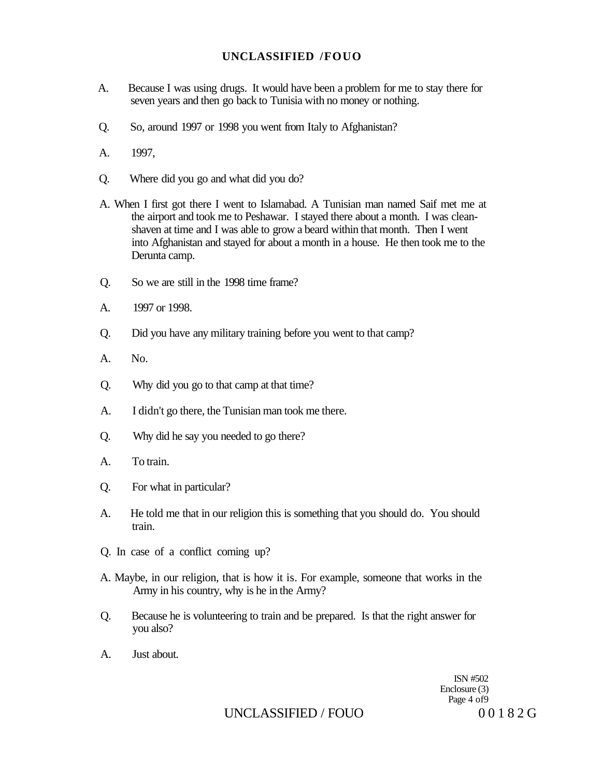- A. Because I was using drugs. It would have been a problem for me to stay there for seven years and then go back to Tunisia with no money or nothing.
- Q. So, around 1997 or 1998 you went from Italy to Afghanistan?
- A. 1997,
- Q. Where did you go and what did you do?
- A. When I first got there I went to Islamabad. A Tunisian man named Saif met me at the airport and took me to Peshawar. I stayed there about a month. I was cleanshaven at time and I was able to grow a beard within that month. Then I went into Afghanistan and stayed for about a month in a house. He then took me to the Derunta camp.
- Q. So we are still in the 1998 time frame?
- A. 1997 or 1998.
- Q. Did you have any military training before you went to that camp?
- A. No.
- Q. Why did you go to that camp at that time?
- A. I didn't go there, the Tunisian man took me there.
- Q. Why did he say you needed to go there?
- A. To train.
- Q. For what in particular?
- A. He told me that in our religion this is something that you should do. You should train.
- Q. In case of a conflict coming up?
- A. Maybe, in our religion, that is how it is. For example, someone that works in the Army in his country, why is he in the Army?
- Q. Because he is volunteering to train and be prepared. Is that the right answer for you also?
- A. Just about.

ISN #502 Enclosure (3) Page 4 of9

UNCLASSIFIED / FOUO 00182 G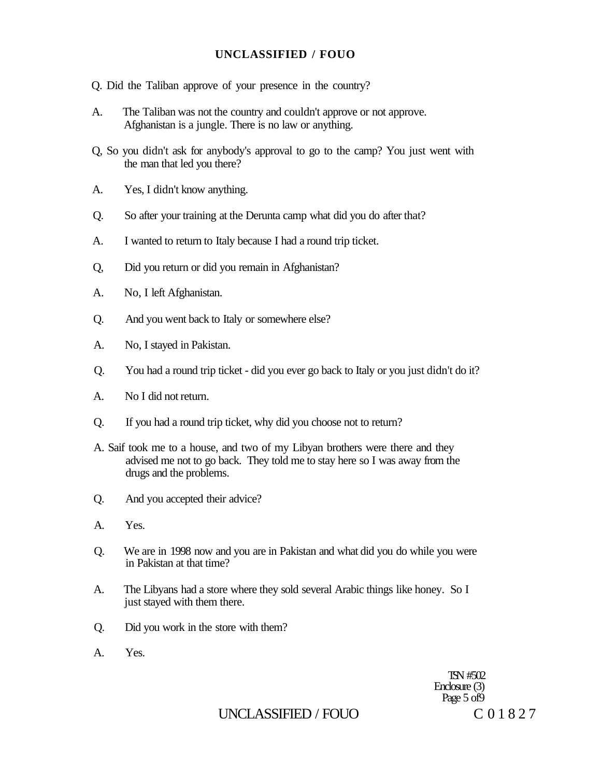- Q. Did the Taliban approve of your presence in the country?
- A. The Taliban was not the country and couldn't approve or not approve. Afghanistan is a jungle. There is no law or anything.
- Q, So you didn't ask for anybody's approval to go to the camp? You just went with the man that led you there?
- A. Yes, I didn't know anything.
- Q. So after your training at the Derunta camp what did you do after that?
- A. I wanted to return to Italy because I had a round trip ticket.
- Q, Did you return or did you remain in Afghanistan?
- A. No, I left Afghanistan.
- Q. And you went back to Italy or somewhere else?
- A. No, I stayed in Pakistan.
- Q. You had a round trip ticket did you ever go back to Italy or you just didn't do it?
- A. No I did not return.
- Q. If you had a round trip ticket, why did you choose not to return?
- A. Saif took me to a house, and two of my Libyan brothers were there and they advised me not to go back. They told me to stay here so I was away from the drugs and the problems.
- Q. And you accepted their advice?
- A. Yes.
- Q. We are in 1998 now and you are in Pakistan and what did you do while you were in Pakistan at that time?
- A. The Libyans had a store where they sold several Arabic things like honey. So I just stayed with them there.
- Q. Did you work in the store with them?
- A. Yes.

TSN #502 Enclosure (3) Page 5 of 9

# UNCLASSIFIED / FOUO C 01827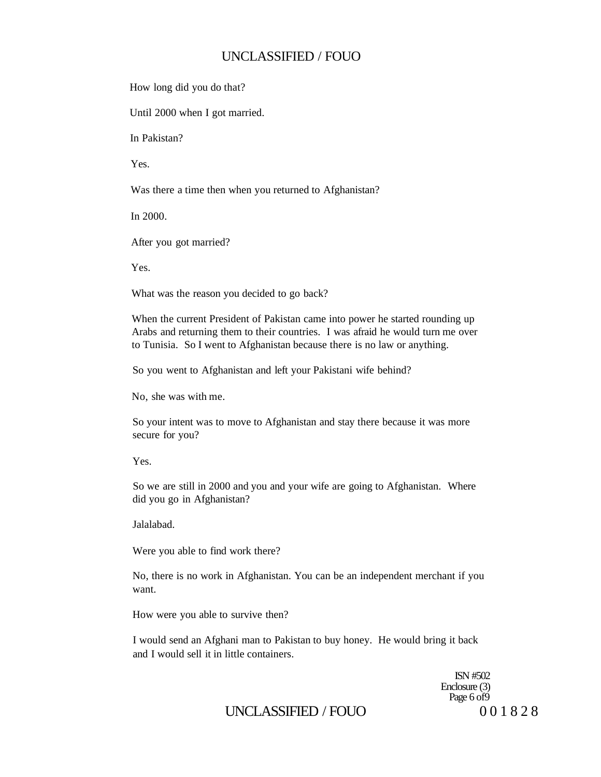How long did you do that?

Until 2000 when I got married.

In Pakistan?

Yes.

Was there a time then when you returned to Afghanistan?

In 2000.

After you got married?

Yes.

What was the reason you decided to go back?

When the current President of Pakistan came into power he started rounding up Arabs and returning them to their countries. I was afraid he would turn me over to Tunisia. So I went to Afghanistan because there is no law or anything.

So you went to Afghanistan and left your Pakistani wife behind?

No, she was with me.

So your intent was to move to Afghanistan and stay there because it was more secure for you?

Yes.

So we are still in 2000 and you and your wife are going to Afghanistan. Where did you go in Afghanistan?

Jalalabad.

Were you able to find work there?

No, there is no work in Afghanistan. You can be an independent merchant if you want.

How were you able to survive then?

I would send an Afghani man to Pakistan to buy honey. He would bring it back and I would sell it in little containers.

> ISN #502 Enclosure (3) Page 6 of 9

# UNCLASSIFIED / FOUO 001828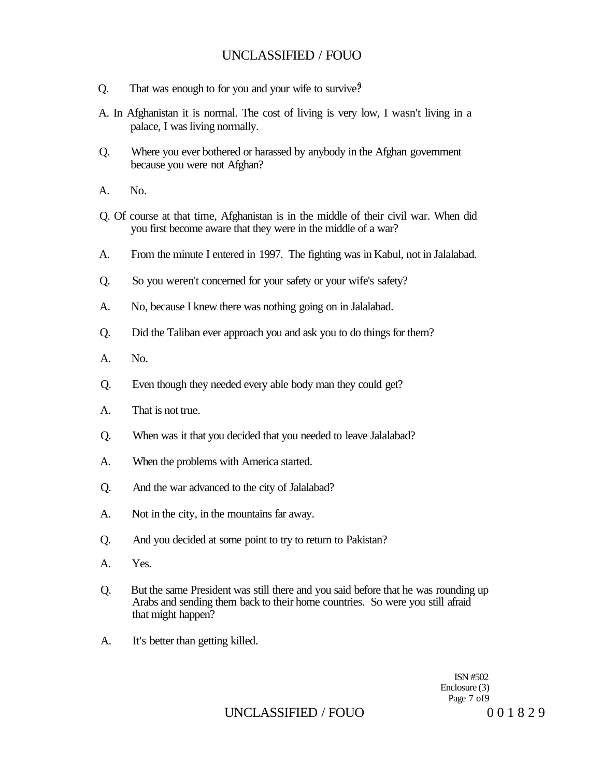- 0. That was enough to for you and your wife to survive?
- A. In Afghanistan it is normal. The cost of living is very low, I wasn't living in a palace, I was living normally.
- Q. Where you ever bothered or harassed by anybody in the Afghan government because you were not Afghan?
- A. No.
- Q. Of course at that time, Afghanistan is in the middle of their civil war. When did you first become aware that they were in the middle of a war?
- A. From the minute I entered in 1997. The fighting was in Kabul, not in Jalalabad.
- Q. So you weren't concerned for your safety or your wife's safety?
- A. No, because I knew there was nothing going on in Jalalabad.
- Q. Did the Taliban ever approach you and ask you to do things for them?
- A. No.
- Q. Even though they needed every able body man they could get?
- A. That is not true.
- Q. When was it that you decided that you needed to leave Jalalabad?
- A. When the problems with America started.
- Q. And the war advanced to the city of Jalalabad?
- A. Not in the city, in the mountains far away.
- Q. And you decided at some point to try to return to Pakistan?
- A. Yes.
- Q. But the same President was still there and you said before that he was rounding up Arabs and sending them back to their home countries. So were you still afraid that might happen?
- A. It's better than getting killed.

ISN #502 Enclosure (3) Page 7 of9

# UNCLASSIFIED / FOUO 001829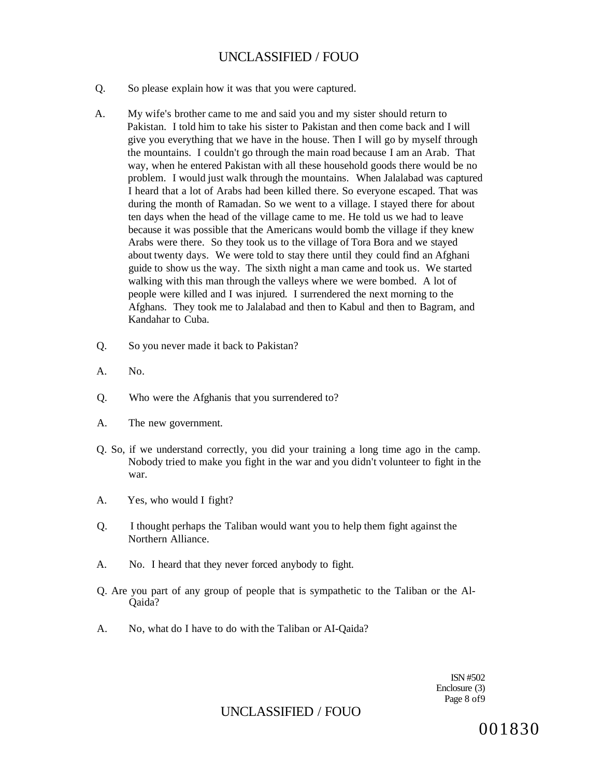- Q. So please explain how it was that you were captured.
- A. My wife's brother came to me and said you and my sister should return to Pakistan. I told him to take his sister to Pakistan and then come back and I will give you everything that we have in the house. Then I will go by myself through the mountains. I couldn't go through the main road because I am an Arab. That way, when he entered Pakistan with all these household goods there would be no problem. I would just walk through the mountains. When Jalalabad was captured I heard that a lot of Arabs had been killed there. So everyone escaped. That was during the month of Ramadan. So we went to a village. I stayed there for about ten days when the head of the village came to me. He told us we had to leave because it was possible that the Americans would bomb the village if they knew Arabs were there. So they took us to the village of Tora Bora and we stayed about twenty days. We were told to stay there until they could find an Afghani guide to show us the way. The sixth night a man came and took us. We started walking with this man through the valleys where we were bombed. A lot of people were killed and I was injured. I surrendered the next morning to the Afghans. They took me to Jalalabad and then to Kabul and then to Bagram, and Kandahar to Cuba.
- Q. So you never made it back to Pakistan?
- A. No.
- Q. Who were the Afghanis that you surrendered to?
- A. The new government.
- Q. So, if we understand correctly, you did your training a long time ago in the camp. Nobody tried to make you fight in the war and you didn't volunteer to fight in the war.
- A. Yes, who would I fight?
- Q. I thought perhaps the Taliban would want you to help them fight against the Northern Alliance.
- A. No. I heard that they never forced anybody to fight.
- Q. Are you part of any group of people that is sympathetic to the Taliban or the Al-Qaida?
- A. No, what do I have to do with the Taliban or AI-Qaida?

ISN #502 Enclosure (3) Page 8 of9

UNCLASSIFIED / FOUO